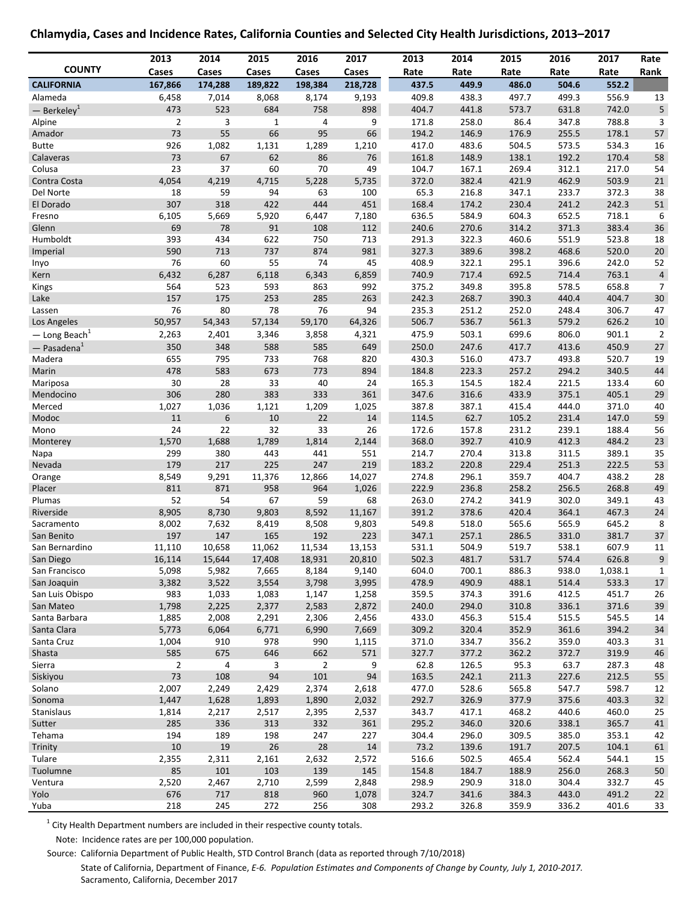### **Chlamydia, Cases and Incidence Rates, California Counties and Selected City Health Jurisdictions, 2013–2017**

|                             | 2013           | 2014                  | 2015         | 2016           | 2017         | 2013           | 2014           | 2015           | 2016           | 2017           | Rate           |
|-----------------------------|----------------|-----------------------|--------------|----------------|--------------|----------------|----------------|----------------|----------------|----------------|----------------|
| <b>COUNTY</b>               | Cases          | Cases                 | Cases        | Cases          | Cases        | Rate           | Rate           | Rate           | Rate           | Rate           | Rank           |
| <b>CALIFORNIA</b>           | 167,866        | 174,288               | 189,822      | 198,384        | 218,728      | 437.5          | 449.9          | 486.0          | 504.6          | 552.2          |                |
| Alameda                     | 6,458          | 7,014                 | 8,068        | 8,174          | 9,193        | 409.8          | 438.3          | 497.7          | 499.3          | 556.9          | 13             |
| $-$ Berkeley <sup>1</sup>   | 473            | 523                   | 684          | 758            | 898          | 404.7          | 441.8          | 573.7          | 631.8          | 742.0          | 5              |
| Alpine                      | $\overline{2}$ | 3                     | $\mathbf{1}$ | 4              | 9            | 171.8          | 258.0          | 86.4           | 347.8          | 788.8          | 3              |
| Amador                      | 73             | 55                    | 66           | 95             | 66           | 194.2          | 146.9          | 176.9          | 255.5          | 178.1          | 57             |
| <b>Butte</b>                | 926            | 1,082                 | 1,131        | 1,289          | 1,210        | 417.0          | 483.6          | 504.5          | 573.5          | 534.3          | 16             |
| Calaveras                   | 73             | 67                    | 62           | 86             | 76           | 161.8          | 148.9          | 138.1          | 192.2          | 170.4          | 58             |
| Colusa                      | 23             | 37                    | 60           | 70             | 49           | 104.7          | 167.1          | 269.4          | 312.1          | 217.0          | 54             |
| Contra Costa                | 4,054          | 4,219                 | 4,715        | 5,228          | 5,735        | 372.0          | 382.4          | 421.9          | 462.9          | 503.9          | 21             |
| Del Norte<br>El Dorado      | 18<br>307      | 59<br>318             | 94<br>422    | 63<br>444      | 100<br>451   | 65.3<br>168.4  | 216.8<br>174.2 | 347.1<br>230.4 | 233.7<br>241.2 | 372.3<br>242.3 | 38<br>51       |
| Fresno                      | 6,105          | 5,669                 | 5,920        | 6,447          | 7,180        | 636.5          | 584.9          | 604.3          | 652.5          | 718.1          | 6              |
| Glenn                       | 69             | 78                    | 91           | 108            | 112          | 240.6          | 270.6          | 314.2          | 371.3          | 383.4          | 36             |
| Humboldt                    | 393            | 434                   | 622          | 750            | 713          | 291.3          | 322.3          | 460.6          | 551.9          | 523.8          | 18             |
| Imperial                    | 590            | 713                   | 737          | 874            | 981          | 327.3          | 389.6          | 398.2          | 468.6          | 520.0          | 20             |
| Inyo                        | 76             | 60                    | 55           | 74             | 45           | 408.9          | 322.1          | 295.1          | 396.6          | 242.0          | 52             |
| Kern                        | 6,432          | 6,287                 | 6,118        | 6,343          | 6,859        | 740.9          | 717.4          | 692.5          | 714.4          | 763.1          | $\overline{a}$ |
| Kings                       | 564            | 523                   | 593          | 863            | 992          | 375.2          | 349.8          | 395.8          | 578.5          | 658.8          | $\overline{7}$ |
| Lake                        | 157            | 175                   | 253          | 285            | 263          | 242.3          | 268.7          | 390.3          | 440.4          | 404.7          | 30             |
| Lassen                      | 76             | 80                    | 78           | 76             | 94           | 235.3          | 251.2          | 252.0          | 248.4          | 306.7          | 47             |
| Los Angeles                 | 50,957         | 54,343                | 57,134       | 59,170         | 64,326       | 506.7          | 536.7          | 561.3          | 579.2          | 626.2          | 10             |
| $-$ Long Beach <sup>1</sup> | 2,263          | 2,401                 | 3,346        | 3,858          | 4,321        | 475.9          | 503.1          | 699.6          | 806.0          | 901.1          | $\overline{2}$ |
| $-$ Pasadena $1$            | 350            | 348                   | 588          | 585            | 649          | 250.0          | 247.6          | 417.7          | 413.6          | 450.9          | 27             |
| Madera                      | 655            | 795                   | 733          | 768            | 820          | 430.3          | 516.0          | 473.7          | 493.8          | 520.7          | 19             |
| Marin                       | 478            | 583                   | 673          | 773            | 894          | 184.8          | 223.3          | 257.2          | 294.2          | 340.5          | 44             |
| Mariposa                    | 30             | 28                    | 33           | 40             | 24           | 165.3          | 154.5          | 182.4          | 221.5          | 133.4          | 60             |
| Mendocino                   | 306            | 280                   | 383          | 333            | 361          | 347.6          | 316.6          | 433.9          | 375.1          | 405.1          | 29             |
| Merced                      | 1,027          | 1,036                 | 1,121        | 1,209          | 1,025        | 387.8          | 387.1          | 415.4          | 444.0          | 371.0          | 40             |
| Modoc                       | 11             | $6\phantom{1}6$       | 10           | 22             | $14\,$       | 114.5          | 62.7           | 105.2          | 231.4          | 147.0          | 59             |
| Mono                        | 24             | 22                    | 32           | 33             | 26           | 172.6          | 157.8          | 231.2          | 239.1          | 188.4          | 56             |
| Monterey                    | 1,570          | 1,688                 | 1,789        | 1,814          | 2,144        | 368.0          | 392.7          | 410.9          | 412.3          | 484.2          | 23             |
| Napa<br>Nevada              | 299<br>179     | 380<br>217            | 443<br>225   | 441<br>247     | 551<br>219   | 214.7<br>183.2 | 270.4<br>220.8 | 313.8<br>229.4 | 311.5<br>251.3 | 389.1<br>222.5 | 35<br>53       |
| Orange                      | 8,549          | 9,291                 | 11,376       | 12,866         | 14,027       | 274.8          | 296.1          | 359.7          | 404.7          | 438.2          | 28             |
| Placer                      | 811            | 871                   | 958          | 964            | 1,026        | 222.9          | 236.8          | 258.2          | 256.5          | 268.8          | 49             |
| Plumas                      | 52             | 54                    | 67           | 59             | 68           | 263.0          | 274.2          | 341.9          | 302.0          | 349.1          | 43             |
| Riverside                   | 8,905          | 8,730                 | 9,803        | 8,592          | 11,167       | 391.2          | 378.6          | 420.4          | 364.1          | 467.3          | 24             |
| Sacramento                  | 8,002          | 7,632                 | 8,419        | 8,508          | 9,803        | 549.8          | 518.0          | 565.6          | 565.9          | 645.2          | 8              |
| San Benito                  | 197            | 147                   | 165          | 192            | 223          | 347.1          | 257.1          | 286.5          | 331.0          | 381.7          | 37             |
| San Bernardino              | 11,110         | 10,658                | 11,062       | 11,534         | 13,153       | 531.1          | 504.9          | 519.7          | 538.1          | 607.9          | 11             |
| San Diego                   | 16,114         | 15,644                | 17,408       | 18,931         | 20,810       | 502.3          | 481.7          | 531.7          | 574.4          | 626.8          | 9              |
| San Francisco               | 5,098          | 5,982                 | 7,665        | 8,184          | 9,140        | 604.0          | 700.1          | 886.3          | 938.0          | 1,038.1        | $\mathbf{1}$   |
| San Joaquin                 | 3,382          | 3,522                 | 3,554        | 3,798          | 3,995        | 478.9          | 490.9          | 488.1          | 514.4          | 533.3          | 17             |
| San Luis Obispo             | 983            | 1,033                 | 1,083        | 1,147          | 1,258        | 359.5          | 374.3          | 391.6          | 412.5          | 451.7          | 26             |
| San Mateo                   | 1,798          | 2,225                 | 2,377        | 2,583          | 2,872        | 240.0          | 294.0          | 310.8          | 336.1          | 371.6          | 39             |
| Santa Barbara               | 1,885          | 2,008                 | 2,291        | 2,306          | 2,456        | 433.0          | 456.3          | 515.4          | 515.5          | 545.5          | 14             |
| Santa Clara                 | 5,773          | 6,064                 | 6,771        | 6,990          | 7,669        | 309.2          | 320.4          | 352.9          | 361.6          | 394.2          | 34             |
| Santa Cruz                  | 1,004<br>585   | 910                   | 978<br>646   | 990<br>662     | 1,115<br>571 | 371.0<br>327.7 | 334.7<br>377.2 | 356.2<br>362.2 | 359.0<br>372.7 | 403.3<br>319.9 | 31             |
| Shasta<br>Sierra            | $\overline{2}$ | 675<br>$\overline{a}$ | 3            | $\overline{2}$ | 9            | 62.8           | 126.5          | 95.3           | 63.7           | 287.3          | 46<br>48       |
| Siskiyou                    | 73             | 108                   | 94           | 101            | 94           | 163.5          | 242.1          | 211.3          | 227.6          | 212.5          | 55             |
| Solano                      | 2,007          | 2,249                 | 2,429        | 2,374          | 2,618        | 477.0          | 528.6          | 565.8          | 547.7          | 598.7          | 12             |
| Sonoma                      | 1,447          | 1,628                 | 1,893        | 1,890          | 2,032        | 292.7          | 326.9          | 377.9          | 375.6          | 403.3          | 32             |
| Stanislaus                  | 1,814          | 2,217                 | 2,517        | 2,395          | 2,537        | 343.7          | 417.1          | 468.2          | 440.6          | 460.0          | 25             |
| Sutter                      | 285            | 336                   | 313          | 332            | 361          | 295.2          | 346.0          | 320.6          | 338.1          | 365.7          | 41             |
| Tehama                      | 194            | 189                   | 198          | 247            | 227          | 304.4          | 296.0          | 309.5          | 385.0          | 353.1          | 42             |
| Trinity                     | 10             | 19                    | 26           | 28             | $14\,$       | 73.2           | 139.6          | 191.7          | 207.5          | 104.1          | 61             |
| Tulare                      | 2,355          | 2,311                 | 2,161        | 2,632          | 2,572        | 516.6          | 502.5          | 465.4          | 562.4          | 544.1          | 15             |
| Tuolumne                    | 85             | 101                   | 103          | 139            | 145          | 154.8          | 184.7          | 188.9          | 256.0          | 268.3          | 50             |
| Ventura                     | 2,520          | 2,467                 | 2,710        | 2,599          | 2,848        | 298.9          | 290.9          | 318.0          | 304.4          | 332.7          | 45             |
| Yolo                        | 676            | 717                   | 818          | 960            | 1,078        | 324.7          | 341.6          | 384.3          | 443.0          | 491.2          | $22\,$         |
| Yuba                        | 218            | 245                   | 272          | 256            | 308          | 293.2          | 326.8          | 359.9          | 336.2          | 401.6          | 33             |

 $1$  City Health Department numbers are included in their respective county totals.

Note: Incidence rates are per 100,000 population.

Source: California Department of Public Health, STD Control Branch (data as reported through 7/10/2018)

State of California, Department of Finance, *E-6. Population Estimates and Components of Change by County, July 1, 2010-2017.* Sacramento, California, December 2017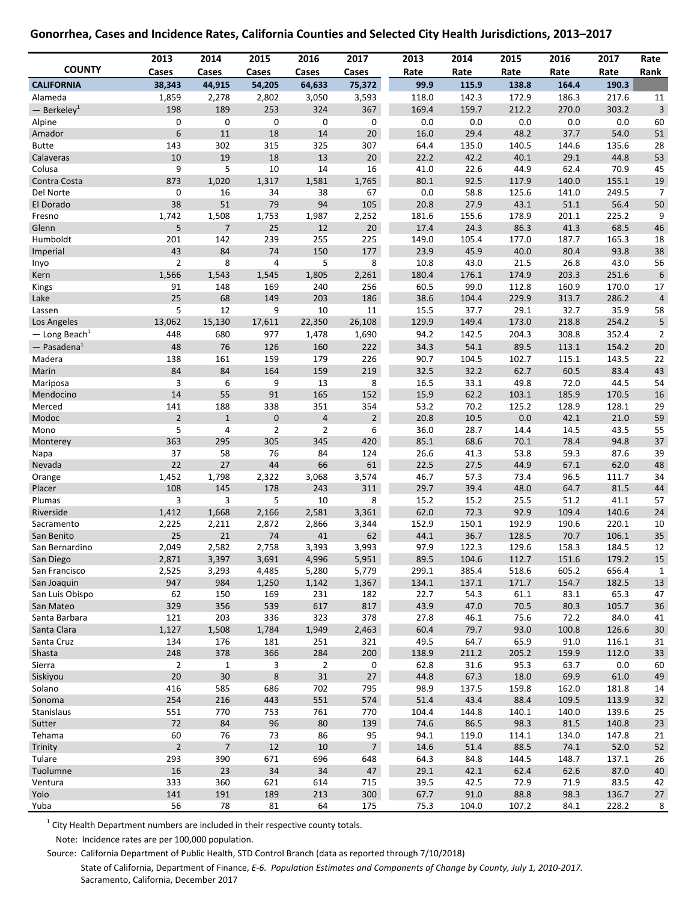### **Gonorrhea, Cases and Incidence Rates, California Counties and Selected City Health Jurisdictions, 2013–2017**

|                             | 2013                 | 2014               | 2015           | 2016                     | 2017           | 2013         | 2014         | 2015          | 2016          | 2017          | Rate           |
|-----------------------------|----------------------|--------------------|----------------|--------------------------|----------------|--------------|--------------|---------------|---------------|---------------|----------------|
| <b>COUNTY</b>               | <b>Cases</b>         | <b>Cases</b>       | Cases          | Cases                    | Cases          | Rate         | Rate         | Rate          | Rate          | Rate          | Rank           |
| <b>CALIFORNIA</b>           | 38,343               | 44,915             | 54,205         | 64,633                   | 75,372         | 99.9         | 115.9        | 138.8         | 164.4         | 190.3         |                |
| Alameda                     | 1,859                | 2,278              | 2,802          | 3,050                    | 3,593          | 118.0        | 142.3        | 172.9         | 186.3         | 217.6         | 11             |
| $-$ Berkeley <sup>1</sup>   | 198                  | 189                | 253            | 324                      | 367            | 169.4        | 159.7        | 212.2         | 270.0         | 303.2         | $\mathsf 3$    |
| Alpine                      | 0                    | 0                  | 0              | 0                        | 0              | 0.0          | 0.0          | 0.0           | 0.0           | 0.0           | 60             |
| Amador                      | 6                    | $11\,$             | 18             | 14                       | 20             | 16.0         | 29.4         | 48.2          | 37.7          | 54.0          | 51             |
| <b>Butte</b>                | 143                  | 302                | 315            | 325                      | 307            | 64.4         | 135.0        | 140.5         | 144.6         | 135.6         | 28             |
| Calaveras                   | 10                   | 19                 | 18             | 13                       | 20             | 22.2         | 42.2         | 40.1          | 29.1          | 44.8          | 53             |
| Colusa<br>Contra Costa      | 9<br>873             | 5                  | 10<br>1,317    | 14<br>1,581              | 16<br>1,765    | 41.0<br>80.1 | 22.6<br>92.5 | 44.9<br>117.9 | 62.4<br>140.0 | 70.9<br>155.1 | 45<br>19       |
| Del Norte                   | 0                    | 1,020<br>16        | 34             | 38                       | 67             | 0.0          | 58.8         | 125.6         | 141.0         | 249.5         | $\overline{7}$ |
| El Dorado                   | 38                   | 51                 | 79             | 94                       | 105            | 20.8         | 27.9         | 43.1          | 51.1          | 56.4          | 50             |
| Fresno                      | 1,742                | 1,508              | 1,753          | 1,987                    | 2,252          | 181.6        | 155.6        | 178.9         | 201.1         | 225.2         | 9              |
| Glenn                       | 5                    | $\overline{7}$     | 25             | 12                       | 20             | 17.4         | 24.3         | 86.3          | 41.3          | 68.5          | 46             |
| Humboldt                    | 201                  | 142                | 239            | 255                      | 225            | 149.0        | 105.4        | 177.0         | 187.7         | 165.3         | 18             |
| Imperial                    | 43                   | 84                 | 74             | 150                      | 177            | 23.9         | 45.9         | 40.0          | 80.4          | 93.8          | 38             |
| Inyo                        | $\overline{2}$       | 8                  | 4              | 5                        | 8              | 10.8         | 43.0         | 21.5          | 26.8          | 43.0          | 56             |
| Kern                        | 1,566                | 1,543              | 1,545          | 1,805                    | 2,261          | 180.4        | 176.1        | 174.9         | 203.3         | 251.6         | 6              |
| Kings                       | 91                   | 148                | 169            | 240                      | 256            | 60.5         | 99.0         | 112.8         | 160.9         | 170.0         | 17             |
| Lake                        | 25                   | 68                 | 149            | 203                      | 186            | 38.6         | 104.4        | 229.9         | 313.7         | 286.2         | 4              |
| Lassen                      | 5                    | 12                 | 9              | 10                       | 11             | 15.5         | 37.7         | 29.1          | 32.7          | 35.9          | 58             |
| Los Angeles                 | 13,062               | 15,130             | 17,611         | 22,350                   | 26,108         | 129.9        | 149.4        | 173.0         | 218.8         | 254.2         | 5              |
| $-$ Long Beach <sup>1</sup> | 448                  | 680                | 977            | 1,478                    | 1,690          | 94.2         | 142.5        | 204.3         | 308.8         | 352.4         | $\overline{2}$ |
| $-$ Pasadena <sup>1</sup>   | 48                   | 76                 | 126            | 160                      | 222            | 34.3         | 54.1         | 89.5          | 113.1         | 154.2         | 20             |
| Madera                      | 138                  | 161                | 159            | 179                      | 226            | 90.7         | 104.5        | 102.7         | 115.1         | 143.5         | 22             |
| Marin                       | 84                   | 84                 | 164            | 159                      | 219            | 32.5         | 32.2         | 62.7          | 60.5          | 83.4          | 43             |
| Mariposa                    | 3                    | 6                  | 9              | 13                       | 8              | 16.5         | 33.1         | 49.8          | 72.0          | 44.5          | 54             |
| Mendocino                   | 14                   | 55                 | 91             | 165                      | 152            | 15.9         | 62.2         | 103.1         | 185.9         | 170.5         | 16             |
| Merced                      | 141                  | 188                | 338            | 351                      | 354            | 53.2         | 70.2         | 125.2         | 128.9         | 128.1         | 29             |
| Modoc                       | $\overline{2}$       | $\mathbf{1}$       | $\mathbf 0$    | $\overline{4}$           | $\overline{2}$ | 20.8         | 10.5         | 0.0           | 42.1          | 21.0          | 59             |
| Mono                        | 5                    | 4                  | $\overline{2}$ | $\overline{2}$           | 6              | 36.0         | 28.7         | 14.4          | 14.5          | 43.5          | 55             |
| Monterey                    | 363                  | 295                | 305            | 345                      | 420            | 85.1         | 68.6         | 70.1          | 78.4          | 94.8          | 37             |
| Napa<br>Nevada              | 37<br>22             | 58<br>27           | 76<br>44       | 84<br>66                 | 124<br>61      | 26.6<br>22.5 | 41.3<br>27.5 | 53.8<br>44.9  | 59.3<br>67.1  | 87.6<br>62.0  | 39<br>48       |
| Orange                      | 1,452                | 1,798              | 2,322          | 3,068                    | 3,574          | 46.7         | 57.3         | 73.4          | 96.5          | 111.7         | 34             |
| Placer                      | 108                  | 145                | 178            | 243                      | 311            | 29.7         | 39.4         | 48.0          | 64.7          | 81.5          | 44             |
| Plumas                      | 3                    | 3                  | 5              | 10                       | 8              | 15.2         | 15.2         | 25.5          | 51.2          | 41.1          | 57             |
| Riverside                   | 1,412                | 1,668              | 2,166          | 2,581                    | 3,361          | 62.0         | 72.3         | 92.9          | 109.4         | 140.6         | 24             |
| Sacramento                  | 2,225                | 2,211              | 2,872          | 2,866                    | 3,344          | 152.9        | 150.1        | 192.9         | 190.6         | 220.1         | 10             |
| San Benito                  | 25                   | 21                 | 74             | 41                       | 62             | 44.1         | 36.7         | 128.5         | 70.7          | 106.1         | 35             |
| San Bernardino              | 2,049                | 2,582              | 2,758          | 3,393                    | 3,993          | 97.9         | 122.3        | 129.6         | 158.3         | 184.5         | 12             |
| San Diego                   | 2,871                | 3,397              | 3,691          | 4,996                    | 5,951          | 89.5         | 104.6        | 112.7         | 151.6         | 179.2         | 15             |
| San Francisco               | 2,525                | 3,293              | 4,485          | 5,280                    | 5,779          | 299.1        | 385.4        | 518.6         | 605.2         | 656.4         | $\mathbf{1}$   |
| San Joaquin                 | 947                  | 984                | 1,250          | 1,142                    | 1,367          | 134.1        | 137.1        | 171.7         | 154.7         | 182.5         | 13             |
| San Luis Obispo             | 62                   | 150                | 169            | 231                      | 182            | 22.7         | 54.3         | 61.1          | 83.1          | 65.3          | 47             |
| San Mateo                   | 329                  | 356                | 539            | 617                      | 817            | 43.9         | 47.0         | 70.5          | 80.3          | 105.7         | 36             |
| Santa Barbara               | 121                  | 203                | 336            | 323                      | 378            | 27.8         | 46.1         | 75.6          | 72.2          | 84.0          | 41             |
| Santa Clara                 | 1,127                | 1,508              | 1,784          | 1,949                    | 2,463          | 60.4         | 79.7         | 93.0          | 100.8         | 126.6         | 30             |
| Santa Cruz                  | 134                  | 176                | 181            | 251                      | 321            | 49.5         | 64.7         | 65.9          | 91.0          | 116.1         | 31             |
| Shasta                      | 248                  | 378                | 366            | 284                      | 200            | 138.9        | 211.2        | 205.2         | 159.9         | 112.0         | 33             |
| Sierra<br>Siskiyou          | $\overline{2}$<br>20 | $\mathbf{1}$<br>30 | 3<br>$\bf 8$   | $\overline{2}$<br>$31\,$ | 0<br>$27\,$    | 62.8<br>44.8 | 31.6<br>67.3 | 95.3<br>18.0  | 63.7<br>69.9  | 0.0<br>61.0   | 60<br>49       |
| Solano                      | 416                  | 585                | 686            | 702                      | 795            | 98.9         | 137.5        | 159.8         | 162.0         | 181.8         | 14             |
| Sonoma                      | 254                  | 216                | 443            | 551                      | 574            | 51.4         | 43.4         | 88.4          | 109.5         | 113.9         | 32             |
| Stanislaus                  | 551                  | 770                | 753            | 761                      | 770            | 104.4        | 144.8        | 140.1         | 140.0         | 139.6         | 25             |
| Sutter                      | 72                   | 84                 | 96             | 80                       | 139            | 74.6         | 86.5         | 98.3          | 81.5          | 140.8         | 23             |
| Tehama                      | 60                   | 76                 | 73             | 86                       | 95             | 94.1         | 119.0        | 114.1         | 134.0         | 147.8         | 21             |
| Trinity                     | $\sqrt{2}$           | $\overline{7}$     | 12             | $10\,$                   | $\overline{7}$ | 14.6         | 51.4         | 88.5          | 74.1          | 52.0          | 52             |
| Tulare                      | 293                  | 390                | 671            | 696                      | 648            | 64.3         | 84.8         | 144.5         | 148.7         | 137.1         | 26             |
| Tuolumne                    | 16                   | 23                 | 34             | 34                       | $47\,$         | 29.1         | 42.1         | 62.4          | 62.6          | 87.0          | 40             |
| Ventura                     | 333                  | 360                | 621            | 614                      | 715            | 39.5         | 42.5         | 72.9          | 71.9          | 83.5          | 42             |
| Yolo                        | 141                  | 191                | 189            | 213                      | 300            | 67.7         | 91.0         | 88.8          | 98.3          | 136.7         | 27             |
| Yuba                        | 56                   | 78                 | 81             | 64                       | 175            | 75.3         | 104.0        | 107.2         | 84.1          | 228.2         | 8              |

 $1$  City Health Department numbers are included in their respective county totals.

Note: Incidence rates are per 100,000 population.

Sacramento, California, December 2017

Source: California Department of Public Health, STD Control Branch (data as reported through 7/10/2018) State of California, Department of Finance, *E-6. Population Estimates and Components of Change by County, July 1, 2010-2017.*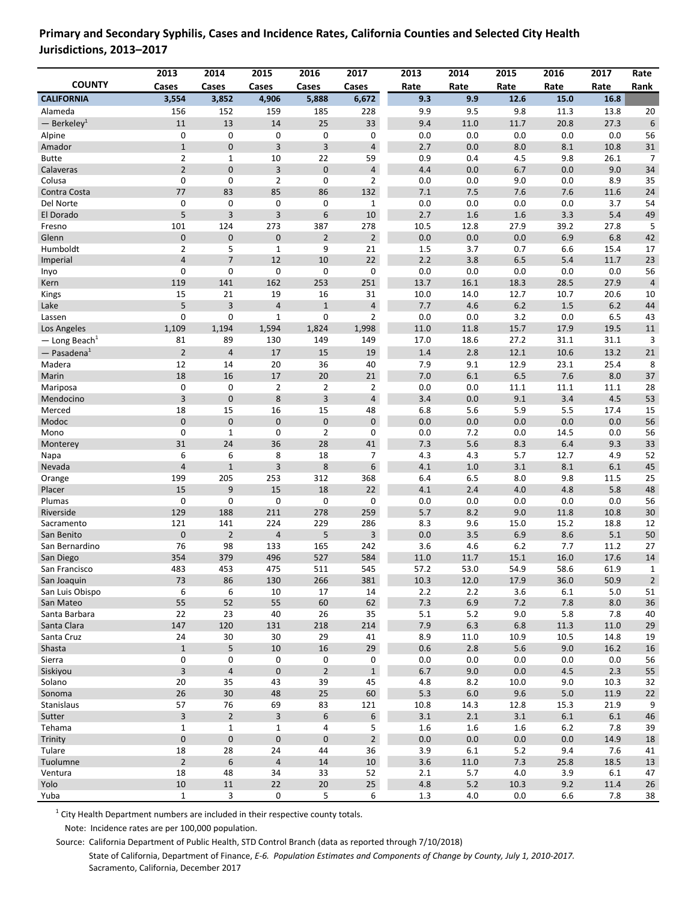#### **COUNTY 2013 Cases 2014 Cases 2015 Cases 2016 Cases 2017 Cases <sup>x</sup> 2013 Rate 2014 Rate 2015 Rate 2016 Rate 2017 Rate Rate Rank CALIFORNIA 3,554 3,852 4,906 5,888 6,672 x 9.3 9.9 12.6 15.0 16.8 n/a** Alameda 156 152 159 185 228 x 9.9 9.5 9.8 11.3 13.8 20 <sup>1</sup> — Berkeley 11 13 14 25 33 x 9.4 11.0 11.7 20.8 27.3 6 Alpine 0 0 0 0 0 x 0.0 0.0 0.0 0.0 0.0 56 Amador 1 0 3 3 4 x 2.7 0.0 8.0 8.1 10.8 31 Butte 2 2 1 10 22 59 0.9 0.4 4.5 9.8 26.1 7 Calaveras 2 0 3 0 4 4.4 0.0 6.7 0.0 9.0 34 Colusa 0 0 2 0 2 x 0.0 0.0 9.0 0.0 8.9 35 Contra Costa 77 83 85 86 132 x 7.1 7.5 7.6 7.6 11.6 24 Del Norte 0 0 0 0 0 1 0.0 0.0 0.0 0.0 3.7 54 El Dorado 5 3 3 6 10 x 2.7 1.6 1.6 3.3 5.4 49 Fresno 101 124 273 387 278 x 10.5 12.8 27.9 39.2 27.8 5 Glenn 6.8 1 0 0 0 0 2 2 0.0 0.0 0.0 6.9 6.8 42 Humboldt 2 5 1 9 21 x 1.5 3.7 0.7 6.6 15.4 17 Imperial 10 10 22 2.2 3.8 6.5 5.4 11.7 23 Inyo 0 0 0 0 0 x 0.0 0.0 0.0 0.0 0.0 56 Kern 119 141 162 253 251 13.7 16.1 18.3 28.5 27.9 4 Kings 15 21 19 16 31 10.0 14.0 12.7 10.7 20.6 10 Lake 5 5 3 4 1 4 7.7 4.6 6.2 1.5 6.2 44 Lassen 0 0 1 0 2 x 0.0 0.0 3.2 0.0 6.5 43 Los Angeles 1,109 1,194 1,594 1,824 1,998 11.0 11.8 15.7 17.9 19.5 11 — Long Beach<sup>1</sup> 81 89 130 149 149 x 17.0 18.6 27.2 31.1 31.1 3 <sup>1</sup> — Pasadena 2 4 17 15 19 x 1.4 2.8 12.1 10.6 13.2 21 Madera 12 14 20 36 40 x 7.9 9.1 12.9 23.1 25.4 8 Marin 18 16 17 20 21 7.0 6.1 6.5 7.6 8.0 37 Mariposa 0 0 2 2 2 x 0.0 0.0 11.1 11.1 11.1 28 Mendocino 3 3 0 8 3 4 3.4 0.0 9.1 3.4 4.5 53 Merced 18 15 16 15 48 6.8 5.6 5.9 5.5 17.4 15 Modoc 0 0 0 0 0 x 0.0 0.0 0.0 0.0 0.0 56 Mono 6 0 1 0 2 0 0.0 7.2 0.0 14.5 0.0 56 Monterey 31 24 36 28 41 7.3 5.6 8.3 6.4 9.3 33 Napa 6 6 8 18 7 x 4.3 4.3 5.7 12.7 4.9 52 Nevada 4 1 3 8 6 x 4.1 1.0 3.1 8.1 6.1 45 Orange 199 205 253 312 368 6.4 6.5 8.0 9.8 11.5 25 Placer 15 9 15 18 22 4.1 2.4 4.0 4.8 5.8 48 Plumas 0 0 0 0 0 x 0.0 0.0 0.0 0.0 0.0 56 Riverside 129 188 211 278 259 5.7 8.2 9.0 11.8 10.8 30 Sacramento 121 141 224 229 286 8.3 9.6 15.0 15.2 18.8 12 San Benito 0 2 4 5 3 x 0.0 3.5 6.9 8.6 5.1 50 San Bernardino 76 98 133 165 242 x 3.6 4.6 6.2 7.7 11.2 27 San Diego 354 379 496 527 584 11.0 11.7 15.1 16.0 17.6 14 San Francisco 483 453 475 511 545 x 57.2 53.0 54.9 58.6 61.9 1 San Joaquin 2010 10: 2000 130 266 281 10.3 12.0 17.9 36.0 50.9 2 San Luis Obispo 6 6 10 17 14 x 2.2 2.2 3.6 6.1 5.0 51 San Mateo 55 52 55 60 62 x 7.3 6.9 7.2 7.8 8.0 36 Santa Barbara 22 23 40 26 35 x 5.1 5.2 9.0 5.8 7.8 40 Santa Clara 11.0 147 120 131 218 214 7.9 6.3 6.8 11.3 11.0 29 Santa Cruz 24 30 30 29 41 8.9 11.0 10.9 10.5 14.8 19 Shasta 1 5 10 16 29 0.6 2.8 5.6 9.0 16.2 16 Sierra 0 0 0 0 0 x 0.0 0.0 0.0 0.0 0.0 56 Siskiyou 3 4 0 2 1 x 6.7 9.0 0.0 4.5 2.3 55 Solano 20 35 43 39 45 x 4.8 8.2 10.0 9.0 10.3 32 Sonoma 26 30 48 25 60 x 5.3 6.0 9.6 5.0 11.9 22 Stanislaus 57 76 69 83 121 x 10.8 14.3 12.8 15.3 21.9 9 Sutter 3 3 2 3 6 6 3.1 2.1 3.1 6.1 6.1 46 Tehama 1 1 1 1 4 5 1.6 1.6 6.2 7.8 39 Trinity 14.9 0 0 0 0 0 0 0 0 0 0 0 0 0 0 0 0 0 0 14.9 18 Tulare 20 28 24 44 36 3.9 6.1 5.2 9.4 7.6 41 Tuolumne 2 2 6 4 14 10 3.6 11.0 7.3 25.8 18.5 13 Ventura 18 48 34 33 52 x 2.1 5.7 4.0 3.9 6.1 47 Yolo 10 11 22 20 25 x 4.8 5.2 10.3 9.2 11.4 26 Yuba 1 3 0 5 6 x 1.3 4.0 0.0 6.6 7.8 38

## **Primary and Secondary Syphilis, Cases and Incidence Rates, California Counties and Selected City Health Jurisdictions, 2013–2017**

 $1$  City Health Department numbers are included in their respective county totals.

Note: Incidence rates are per 100,000 population.

Source: California Department of Public Health, STD Control Branch (data as reported through 7/10/2018)

State of California, Department of Finance, *E-6. Population Estimates and Components of Change by County, July 1, 2010-2017.* Sacramento, California, December 2017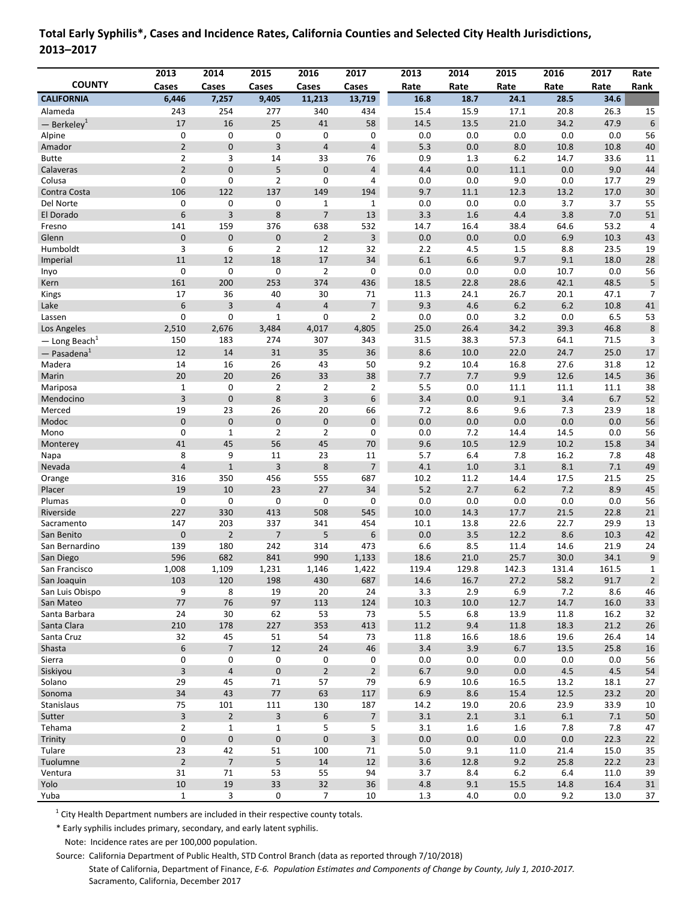| Cases<br>Rate<br>Rank<br>Cases<br>Cases<br>Cases<br>Cases<br>Rate<br>Rate<br>Rate<br>Rate<br><b>CALIFORNIA</b><br>6,446<br>7,257<br>13,719<br>9,405<br>11,213<br>16.8<br>18.7<br>24.1<br>28.5<br>34.6<br>Alameda<br>243<br>254<br>277<br>340<br>434<br>15.4<br>15.9<br>17.1<br>20.8<br>26.3<br>15<br>17<br>16<br>25<br>41<br>58<br>14.5<br>34.2<br>47.9<br>$\boldsymbol{6}$<br>13.5<br>21.0<br>$-$ Berkeley <sup>1</sup><br>$\mathbf 0$<br>0<br>0<br>0<br>0<br>0.0<br>0.0<br>0.0<br>0.0<br>0.0<br>56<br>Alpine<br>$\overline{2}$<br>$\mathbf{0}$<br>3<br>$\overline{4}$<br>$\overline{4}$<br>5.3<br>0.0<br>8.0<br>10.8<br>10.8<br>40<br>Amador<br>$\overline{2}$<br>3<br>14<br>33<br>76<br>0.9<br>1.3<br>6.2<br>14.7<br>33.6<br>11<br><b>Butte</b><br>5<br>$\overline{2}$<br>$\mathbf 0$<br>$\mathbf 0$<br>4.4<br>0.0<br>9.0<br>$\overline{\mathbf{4}}$<br>0.0<br>11.1<br>44<br>Calaveras<br>0<br>0<br>$\overline{2}$<br>$\mathbf 0$<br>17.7<br>Colusa<br>$\overline{4}$<br>0.0<br>0.0<br>9.0<br>0.0<br>29<br>106<br>137<br>9.7<br>30<br>122<br>149<br>194<br>$11.1\,$<br>12.3<br>13.2<br>17.0<br>Contra Costa<br>Del Norte<br>0<br>0<br>$\mathbf{1}$<br>0.0<br>0.0<br>0.0<br>3.7<br>3.7<br>55<br>0<br>1<br>6<br>3<br>$\overline{7}$<br>8<br>13<br>3.3<br>1.6<br>4.4<br>3.8<br>7.0<br>51<br>El Dorado<br>141<br>159<br>376<br>638<br>532<br>14.7<br>16.4<br>38.4<br>64.6<br>53.2<br>4<br>Fresno<br>$\pmb{0}$<br>$\pmb{0}$<br>$\overline{2}$<br>3<br>$0.0\,$<br>6.9<br>10.3<br>Glenn<br>0<br>0.0<br>0.0<br>43<br>3<br>6<br>2.2<br>Humboldt<br>$\overline{2}$<br>12<br>32<br>4.5<br>1.5<br>8.8<br>23.5<br>19<br>6.1<br>11<br>12<br>$18\,$<br>17<br>34<br>6.6<br>9.7<br>9.1<br>18.0<br>Imperial<br>28<br>0<br>0.0<br>0.0<br>0<br>0<br>0<br>$\overline{2}$<br>0.0<br>0.0<br>10.7<br>56<br>Inyo<br>161<br>42.1<br>200<br>253<br>374<br>436<br>18.5<br>22.8<br>28.6<br>48.5<br>5<br>Kern<br>17<br>26.7<br>36<br>40<br>30<br>11.3<br>24.1<br>20.1<br>47.1<br>$\overline{7}$<br>Kings<br>71<br>6<br>3<br>$\overline{4}$<br>$\overline{7}$<br>9.3<br>4.6<br>6.2<br>6.2<br>10.8<br>$\overline{4}$<br>41<br>Lake<br>0<br>0<br>$\mathbf{1}$<br>$\mathbf 0$<br>$\overline{2}$<br>0.0<br>0.0<br>3.2<br>0.0<br>6.5<br>53<br>Lassen<br>4,805<br>25.0<br>26.4<br>34.2<br>46.8<br>$\bf 8$<br>2,510<br>2,676<br>3,484<br>4,017<br>39.3<br>Los Angeles<br>150<br>183<br>274<br>307<br>343<br>31.5<br>38.3<br>57.3<br>64.1<br>71.5<br>3<br>$-$ Long Beach <sup>1</sup><br>12<br>31<br>35<br>36<br>8.6<br>10.0<br>22.0<br>24.7<br>25.0<br>14<br>17<br>$-$ Pasadena $1$<br>27.6<br>Madera<br>14<br>16<br>26<br>43<br>50<br>9.2<br>10.4<br>16.8<br>31.8<br>12<br>20<br>20<br>26<br>33<br>7.7<br>7.7<br>12.6<br>14.5<br>36<br>Marin<br>38<br>9.9<br>$\overline{2}$<br>$\overline{2}$<br>5.5<br>$\mathbf 1$<br>0<br>$\overline{2}$<br>0.0<br>11.1<br>11.1<br>11.1<br>38<br>Mariposa<br>3<br>$\mathbf 0$<br>8<br>3<br>6<br>3.4<br>6.7<br>52<br>0.0<br>9.1<br>3.4<br>Mendocino<br>19<br>20<br>23<br>26<br>7.2<br>8.6<br>9.6<br>7.3<br>23.9<br>18<br>Merced<br>66<br>$\mathbf 0$<br>$\mathbf 0$<br>0<br>$\pmb{0}$<br>$\pmb{0}$<br>0.0<br>0.0<br>0.0<br>Modoc<br>0.0<br>0.0<br>56<br>$\mathbf 0$<br>$\mathbf{1}$<br>$\overline{2}$<br>$\overline{2}$<br>0<br>0.0<br>7.2<br>0.0<br>56<br>Mono<br>14.4<br>14.5<br>56<br>41<br>45<br>45<br>9.6<br>10.5<br>$10.2\,$<br>15.8<br>34<br>70<br>12.9<br>Monterey<br>9<br>5.7<br>8<br>11<br>23<br>6.4<br>7.8<br>16.2<br>7.8<br>48<br>Napa<br>11<br>$\overline{4}$<br>$1\,$<br>8<br>$\overline{7}$<br>7.1<br>Nevada<br>3<br>4.1<br>1.0<br>3.1<br>8.1<br>49<br>25<br>316<br>350<br>456<br>555<br>10.2<br>11.2<br>14.4<br>17.5<br>21.5<br>687<br>Orange<br>5.2<br>19<br>10<br>23<br>27<br>34<br>2.7<br>6.2<br>7.2<br>8.9<br>45<br>Placer<br>$\mathbf 0$<br>0<br>0<br>0<br>0<br>0.0<br>0.0<br>0.0<br>0.0<br>0.0<br>56<br>Plumas<br>227<br>508<br>Riverside<br>330<br>413<br>545<br>10.0<br>14.3<br>17.7<br>21.5<br>22.8<br>21<br>147<br>10.1<br>22.7<br>29.9<br>203<br>337<br>341<br>454<br>13.8<br>22.6<br>13<br>Sacramento<br>$\pmb{0}$<br>$\overline{2}$<br>$\overline{7}$<br>5<br>6<br>0.0<br>3.5<br>12.2<br>8.6<br>10.3<br>42<br>San Benito<br>139<br>180<br>242<br>473<br>6.6<br>8.5<br>14.6<br>21.9<br>24<br>San Bernardino<br>314<br>11.4<br>596<br>682<br>841<br>990<br>1,133<br>18.6<br>25.7<br>30.0<br>34.1<br>$\mathsf 9$<br>San Diego<br>21.0<br>San Francisco<br>1,008<br>1,422<br>1,109<br>1,231<br>1,146<br>119.4<br>129.8<br>142.3<br>131.4<br>161.5<br>1<br>San Joaquin<br>103<br>120<br>198<br>430<br>687<br>14.6<br>16.7<br>27.2<br>58.2<br>91.7<br>$\overline{2}$<br>San Luis Obispo<br>9<br>8<br>19<br>20<br>24<br>3.3<br>2.9<br>6.9<br>8.6<br>7.2<br>46<br>76<br>San Mateo<br>77<br>97<br>113<br>124<br>10.3<br>10.0<br>12.7<br>14.7<br>16.0<br>33<br>Santa Barbara<br>24<br>$30\,$<br>62<br>53<br>73<br>$5.5\,$<br>6.8<br>13.9<br>11.8<br>16.2<br>32<br>413<br>$11.2\,$<br>Santa Clara<br>210<br>178<br>227<br>353<br>9.4<br>11.8<br>18.3<br>21.2<br>26<br>Santa Cruz<br>32<br>45<br>51<br>54<br>11.8<br>16.6<br>26.4<br>73<br>18.6<br>19.6<br>14<br>$\overline{7}$<br>6<br>12<br>24<br>46<br>3.4<br>3.9<br>6.7<br>13.5<br>25.8<br>Shasta<br>16<br>0<br>0<br>Sierra<br>0<br>0<br>0<br>0.0<br>0.0<br>0.0<br>0.0<br>0.0<br>56<br>$\overline{3}$<br>$\sqrt{4}$<br>$\pmb{0}$<br>$\overline{2}$<br>Siskiyou<br>$\overline{2}$<br>6.7<br>9.0<br>0.0<br>$4.5\,$<br>4.5<br>54<br>29<br>45<br>Solano<br>71<br>57<br>79<br>6.9<br>10.6<br>16.5<br>13.2<br>18.1<br>27<br>34<br>43<br>$77\,$<br>117<br>Sonoma<br>63<br>6.9<br>8.6<br>15.4<br>12.5<br>23.2<br>$20\,$<br>75<br>Stanislaus<br>101<br>111<br>130<br>187<br>19.0<br>20.6<br>23.9<br>33.9<br>14.2<br>10<br>$\overline{7}$<br>$\overline{\mathbf{3}}$<br>$\overline{2}$<br>3<br>$\boldsymbol{6}$<br>3.1<br>2.1<br>3.1<br>$6.1\,$<br>7.1<br>50<br>Sutter<br>$\mathbf 1$<br>5<br>5<br>$\overline{2}$<br>$\mathbf 1$<br>3.1<br>7.8<br>Tehama<br>1.6<br>1.6<br>7.8<br>47<br>$\mathbf 0$<br>$\pmb{0}$<br>$\pmb{0}$<br>$\pmb{0}$<br>3<br>Trinity<br>0.0<br>0.0<br>0.0<br>0.0<br>22.3<br>$22\,$<br>42<br>23<br>51<br>5.0<br>9.1<br>21.4<br>15.0<br>35<br>Tulare<br>100<br>71<br>11.0<br>$\overline{2}$<br>$\overline{\phantom{a}}$<br>5<br>$12\,$<br>22.2<br>Tuolumne<br>14<br>3.6<br>12.8<br>9.2<br>25.8<br>23<br>31<br>71<br>53<br>55<br>94<br>3.7<br>8.4<br>$6.2\,$<br>6.4<br>11.0<br>39<br>Ventura<br>19<br>33<br>32<br>10<br>36<br>4.8<br>9.1<br>15.5<br>14.8<br>16.4<br>Yolo<br>31<br>$\mathbf 1$<br>3<br>$\overline{7}$<br>Yuba<br>0<br>10<br>$1.3$<br>$0.0\,$<br>9.2<br>13.0<br>4.0<br>37 |               | 2013 | 2014 | 2015 | 2016 | 2017 | 2013 | 2014 | 2015 | 2016 | 2017 | Rate |
|---------------------------------------------------------------------------------------------------------------------------------------------------------------------------------------------------------------------------------------------------------------------------------------------------------------------------------------------------------------------------------------------------------------------------------------------------------------------------------------------------------------------------------------------------------------------------------------------------------------------------------------------------------------------------------------------------------------------------------------------------------------------------------------------------------------------------------------------------------------------------------------------------------------------------------------------------------------------------------------------------------------------------------------------------------------------------------------------------------------------------------------------------------------------------------------------------------------------------------------------------------------------------------------------------------------------------------------------------------------------------------------------------------------------------------------------------------------------------------------------------------------------------------------------------------------------------------------------------------------------------------------------------------------------------------------------------------------------------------------------------------------------------------------------------------------------------------------------------------------------------------------------------------------------------------------------------------------------------------------------------------------------------------------------------------------------------------------------------------------------------------------------------------------------------------------------------------------------------------------------------------------------------------------------------------------------------------------------------------------------------------------------------------------------------------------------------------------------------------------------------------------------------------------------------------------------------------------------------------------------------------------------------------------------------------------------------------------------------------------------------------------------------------------------------------------------------------------------------------------------------------------------------------------------------------------------------------------------------------------------------------------------------------------------------------------------------------------------------------------------------------------------------------------------------------------------------------------------------------------------------------------------------------------------------------------------------------------------------------------------------------------------------------------------------------------------------------------------------------------------------------------------------------------------------------------------------------------------------------------------------------------------------------------------------------------------------------------------------------------------------------------------------------------------------------------------------------------------------------------------------------------------------------------------------------------------------------------------------------------------------------------------------------------------------------------------------------------------------------------------------------------------------------------------------------------------------------------------------------------------------------------------------------------------------------------------------------------------------------------------------------------------------------------------------------------------------------------------------------------------------------------------------------------------------------------------------------------------------------------------------------------------------------------------------------------------------------------------------------------------------------------------------------------------------------------------------------------------------------------------------------------------------------------------------------------------------------------------------------------------------------------------------------------------------------------------------------------------------------------------------------------------------------------------------------------------------------------------------------------------------------------------------------------------------------------------------------------------------------------------------------------------------------------------------------------------------------------------------------------------------------------------------------------------------------------------------------------------------------------------------------------------------------------------------------------------------------------------------------------------------------------------------------------------------------------------------------------------------------------------------------------------------------------------------------------------------------------------------------------------------------------------------------------------------------------------------------------------------------------------------------------------------------------------------------------------------------------------------------------------------------------------------------------------------------------------------------------------------------------------------------------------------------------------------------------------------------------------------------------------------------------------------------------------------------------------|---------------|------|------|------|------|------|------|------|------|------|------|------|
|                                                                                                                                                                                                                                                                                                                                                                                                                                                                                                                                                                                                                                                                                                                                                                                                                                                                                                                                                                                                                                                                                                                                                                                                                                                                                                                                                                                                                                                                                                                                                                                                                                                                                                                                                                                                                                                                                                                                                                                                                                                                                                                                                                                                                                                                                                                                                                                                                                                                                                                                                                                                                                                                                                                                                                                                                                                                                                                                                                                                                                                                                                                                                                                                                                                                                                                                                                                                                                                                                                                                                                                                                                                                                                                                                                                                                                                                                                                                                                                                                                                                                                                                                                                                                                                                                                                                                                                                                                                                                                                                                                                                                                                                                                                                                                                                                                                                                                                                                                                                                                                                                                                                                                                                                                                                                                                                                                                                                                                                                                                                                                                                                                                                                                                                                                                                                                                                                                                                                                                                                                                                                                                                                                                                                                                                                                                                                                                                                                                                                                                                                                     | <b>COUNTY</b> |      |      |      |      |      |      |      |      |      |      |      |
|                                                                                                                                                                                                                                                                                                                                                                                                                                                                                                                                                                                                                                                                                                                                                                                                                                                                                                                                                                                                                                                                                                                                                                                                                                                                                                                                                                                                                                                                                                                                                                                                                                                                                                                                                                                                                                                                                                                                                                                                                                                                                                                                                                                                                                                                                                                                                                                                                                                                                                                                                                                                                                                                                                                                                                                                                                                                                                                                                                                                                                                                                                                                                                                                                                                                                                                                                                                                                                                                                                                                                                                                                                                                                                                                                                                                                                                                                                                                                                                                                                                                                                                                                                                                                                                                                                                                                                                                                                                                                                                                                                                                                                                                                                                                                                                                                                                                                                                                                                                                                                                                                                                                                                                                                                                                                                                                                                                                                                                                                                                                                                                                                                                                                                                                                                                                                                                                                                                                                                                                                                                                                                                                                                                                                                                                                                                                                                                                                                                                                                                                                                     |               |      |      |      |      |      |      |      |      |      |      |      |
|                                                                                                                                                                                                                                                                                                                                                                                                                                                                                                                                                                                                                                                                                                                                                                                                                                                                                                                                                                                                                                                                                                                                                                                                                                                                                                                                                                                                                                                                                                                                                                                                                                                                                                                                                                                                                                                                                                                                                                                                                                                                                                                                                                                                                                                                                                                                                                                                                                                                                                                                                                                                                                                                                                                                                                                                                                                                                                                                                                                                                                                                                                                                                                                                                                                                                                                                                                                                                                                                                                                                                                                                                                                                                                                                                                                                                                                                                                                                                                                                                                                                                                                                                                                                                                                                                                                                                                                                                                                                                                                                                                                                                                                                                                                                                                                                                                                                                                                                                                                                                                                                                                                                                                                                                                                                                                                                                                                                                                                                                                                                                                                                                                                                                                                                                                                                                                                                                                                                                                                                                                                                                                                                                                                                                                                                                                                                                                                                                                                                                                                                                                     |               |      |      |      |      |      |      |      |      |      |      |      |
|                                                                                                                                                                                                                                                                                                                                                                                                                                                                                                                                                                                                                                                                                                                                                                                                                                                                                                                                                                                                                                                                                                                                                                                                                                                                                                                                                                                                                                                                                                                                                                                                                                                                                                                                                                                                                                                                                                                                                                                                                                                                                                                                                                                                                                                                                                                                                                                                                                                                                                                                                                                                                                                                                                                                                                                                                                                                                                                                                                                                                                                                                                                                                                                                                                                                                                                                                                                                                                                                                                                                                                                                                                                                                                                                                                                                                                                                                                                                                                                                                                                                                                                                                                                                                                                                                                                                                                                                                                                                                                                                                                                                                                                                                                                                                                                                                                                                                                                                                                                                                                                                                                                                                                                                                                                                                                                                                                                                                                                                                                                                                                                                                                                                                                                                                                                                                                                                                                                                                                                                                                                                                                                                                                                                                                                                                                                                                                                                                                                                                                                                                                     |               |      |      |      |      |      |      |      |      |      |      |      |
|                                                                                                                                                                                                                                                                                                                                                                                                                                                                                                                                                                                                                                                                                                                                                                                                                                                                                                                                                                                                                                                                                                                                                                                                                                                                                                                                                                                                                                                                                                                                                                                                                                                                                                                                                                                                                                                                                                                                                                                                                                                                                                                                                                                                                                                                                                                                                                                                                                                                                                                                                                                                                                                                                                                                                                                                                                                                                                                                                                                                                                                                                                                                                                                                                                                                                                                                                                                                                                                                                                                                                                                                                                                                                                                                                                                                                                                                                                                                                                                                                                                                                                                                                                                                                                                                                                                                                                                                                                                                                                                                                                                                                                                                                                                                                                                                                                                                                                                                                                                                                                                                                                                                                                                                                                                                                                                                                                                                                                                                                                                                                                                                                                                                                                                                                                                                                                                                                                                                                                                                                                                                                                                                                                                                                                                                                                                                                                                                                                                                                                                                                                     |               |      |      |      |      |      |      |      |      |      |      |      |
|                                                                                                                                                                                                                                                                                                                                                                                                                                                                                                                                                                                                                                                                                                                                                                                                                                                                                                                                                                                                                                                                                                                                                                                                                                                                                                                                                                                                                                                                                                                                                                                                                                                                                                                                                                                                                                                                                                                                                                                                                                                                                                                                                                                                                                                                                                                                                                                                                                                                                                                                                                                                                                                                                                                                                                                                                                                                                                                                                                                                                                                                                                                                                                                                                                                                                                                                                                                                                                                                                                                                                                                                                                                                                                                                                                                                                                                                                                                                                                                                                                                                                                                                                                                                                                                                                                                                                                                                                                                                                                                                                                                                                                                                                                                                                                                                                                                                                                                                                                                                                                                                                                                                                                                                                                                                                                                                                                                                                                                                                                                                                                                                                                                                                                                                                                                                                                                                                                                                                                                                                                                                                                                                                                                                                                                                                                                                                                                                                                                                                                                                                                     |               |      |      |      |      |      |      |      |      |      |      |      |
|                                                                                                                                                                                                                                                                                                                                                                                                                                                                                                                                                                                                                                                                                                                                                                                                                                                                                                                                                                                                                                                                                                                                                                                                                                                                                                                                                                                                                                                                                                                                                                                                                                                                                                                                                                                                                                                                                                                                                                                                                                                                                                                                                                                                                                                                                                                                                                                                                                                                                                                                                                                                                                                                                                                                                                                                                                                                                                                                                                                                                                                                                                                                                                                                                                                                                                                                                                                                                                                                                                                                                                                                                                                                                                                                                                                                                                                                                                                                                                                                                                                                                                                                                                                                                                                                                                                                                                                                                                                                                                                                                                                                                                                                                                                                                                                                                                                                                                                                                                                                                                                                                                                                                                                                                                                                                                                                                                                                                                                                                                                                                                                                                                                                                                                                                                                                                                                                                                                                                                                                                                                                                                                                                                                                                                                                                                                                                                                                                                                                                                                                                                     |               |      |      |      |      |      |      |      |      |      |      |      |
|                                                                                                                                                                                                                                                                                                                                                                                                                                                                                                                                                                                                                                                                                                                                                                                                                                                                                                                                                                                                                                                                                                                                                                                                                                                                                                                                                                                                                                                                                                                                                                                                                                                                                                                                                                                                                                                                                                                                                                                                                                                                                                                                                                                                                                                                                                                                                                                                                                                                                                                                                                                                                                                                                                                                                                                                                                                                                                                                                                                                                                                                                                                                                                                                                                                                                                                                                                                                                                                                                                                                                                                                                                                                                                                                                                                                                                                                                                                                                                                                                                                                                                                                                                                                                                                                                                                                                                                                                                                                                                                                                                                                                                                                                                                                                                                                                                                                                                                                                                                                                                                                                                                                                                                                                                                                                                                                                                                                                                                                                                                                                                                                                                                                                                                                                                                                                                                                                                                                                                                                                                                                                                                                                                                                                                                                                                                                                                                                                                                                                                                                                                     |               |      |      |      |      |      |      |      |      |      |      |      |
|                                                                                                                                                                                                                                                                                                                                                                                                                                                                                                                                                                                                                                                                                                                                                                                                                                                                                                                                                                                                                                                                                                                                                                                                                                                                                                                                                                                                                                                                                                                                                                                                                                                                                                                                                                                                                                                                                                                                                                                                                                                                                                                                                                                                                                                                                                                                                                                                                                                                                                                                                                                                                                                                                                                                                                                                                                                                                                                                                                                                                                                                                                                                                                                                                                                                                                                                                                                                                                                                                                                                                                                                                                                                                                                                                                                                                                                                                                                                                                                                                                                                                                                                                                                                                                                                                                                                                                                                                                                                                                                                                                                                                                                                                                                                                                                                                                                                                                                                                                                                                                                                                                                                                                                                                                                                                                                                                                                                                                                                                                                                                                                                                                                                                                                                                                                                                                                                                                                                                                                                                                                                                                                                                                                                                                                                                                                                                                                                                                                                                                                                                                     |               |      |      |      |      |      |      |      |      |      |      |      |
|                                                                                                                                                                                                                                                                                                                                                                                                                                                                                                                                                                                                                                                                                                                                                                                                                                                                                                                                                                                                                                                                                                                                                                                                                                                                                                                                                                                                                                                                                                                                                                                                                                                                                                                                                                                                                                                                                                                                                                                                                                                                                                                                                                                                                                                                                                                                                                                                                                                                                                                                                                                                                                                                                                                                                                                                                                                                                                                                                                                                                                                                                                                                                                                                                                                                                                                                                                                                                                                                                                                                                                                                                                                                                                                                                                                                                                                                                                                                                                                                                                                                                                                                                                                                                                                                                                                                                                                                                                                                                                                                                                                                                                                                                                                                                                                                                                                                                                                                                                                                                                                                                                                                                                                                                                                                                                                                                                                                                                                                                                                                                                                                                                                                                                                                                                                                                                                                                                                                                                                                                                                                                                                                                                                                                                                                                                                                                                                                                                                                                                                                                                     |               |      |      |      |      |      |      |      |      |      |      |      |
|                                                                                                                                                                                                                                                                                                                                                                                                                                                                                                                                                                                                                                                                                                                                                                                                                                                                                                                                                                                                                                                                                                                                                                                                                                                                                                                                                                                                                                                                                                                                                                                                                                                                                                                                                                                                                                                                                                                                                                                                                                                                                                                                                                                                                                                                                                                                                                                                                                                                                                                                                                                                                                                                                                                                                                                                                                                                                                                                                                                                                                                                                                                                                                                                                                                                                                                                                                                                                                                                                                                                                                                                                                                                                                                                                                                                                                                                                                                                                                                                                                                                                                                                                                                                                                                                                                                                                                                                                                                                                                                                                                                                                                                                                                                                                                                                                                                                                                                                                                                                                                                                                                                                                                                                                                                                                                                                                                                                                                                                                                                                                                                                                                                                                                                                                                                                                                                                                                                                                                                                                                                                                                                                                                                                                                                                                                                                                                                                                                                                                                                                                                     |               |      |      |      |      |      |      |      |      |      |      |      |
|                                                                                                                                                                                                                                                                                                                                                                                                                                                                                                                                                                                                                                                                                                                                                                                                                                                                                                                                                                                                                                                                                                                                                                                                                                                                                                                                                                                                                                                                                                                                                                                                                                                                                                                                                                                                                                                                                                                                                                                                                                                                                                                                                                                                                                                                                                                                                                                                                                                                                                                                                                                                                                                                                                                                                                                                                                                                                                                                                                                                                                                                                                                                                                                                                                                                                                                                                                                                                                                                                                                                                                                                                                                                                                                                                                                                                                                                                                                                                                                                                                                                                                                                                                                                                                                                                                                                                                                                                                                                                                                                                                                                                                                                                                                                                                                                                                                                                                                                                                                                                                                                                                                                                                                                                                                                                                                                                                                                                                                                                                                                                                                                                                                                                                                                                                                                                                                                                                                                                                                                                                                                                                                                                                                                                                                                                                                                                                                                                                                                                                                                                                     |               |      |      |      |      |      |      |      |      |      |      |      |
|                                                                                                                                                                                                                                                                                                                                                                                                                                                                                                                                                                                                                                                                                                                                                                                                                                                                                                                                                                                                                                                                                                                                                                                                                                                                                                                                                                                                                                                                                                                                                                                                                                                                                                                                                                                                                                                                                                                                                                                                                                                                                                                                                                                                                                                                                                                                                                                                                                                                                                                                                                                                                                                                                                                                                                                                                                                                                                                                                                                                                                                                                                                                                                                                                                                                                                                                                                                                                                                                                                                                                                                                                                                                                                                                                                                                                                                                                                                                                                                                                                                                                                                                                                                                                                                                                                                                                                                                                                                                                                                                                                                                                                                                                                                                                                                                                                                                                                                                                                                                                                                                                                                                                                                                                                                                                                                                                                                                                                                                                                                                                                                                                                                                                                                                                                                                                                                                                                                                                                                                                                                                                                                                                                                                                                                                                                                                                                                                                                                                                                                                                                     |               |      |      |      |      |      |      |      |      |      |      |      |
|                                                                                                                                                                                                                                                                                                                                                                                                                                                                                                                                                                                                                                                                                                                                                                                                                                                                                                                                                                                                                                                                                                                                                                                                                                                                                                                                                                                                                                                                                                                                                                                                                                                                                                                                                                                                                                                                                                                                                                                                                                                                                                                                                                                                                                                                                                                                                                                                                                                                                                                                                                                                                                                                                                                                                                                                                                                                                                                                                                                                                                                                                                                                                                                                                                                                                                                                                                                                                                                                                                                                                                                                                                                                                                                                                                                                                                                                                                                                                                                                                                                                                                                                                                                                                                                                                                                                                                                                                                                                                                                                                                                                                                                                                                                                                                                                                                                                                                                                                                                                                                                                                                                                                                                                                                                                                                                                                                                                                                                                                                                                                                                                                                                                                                                                                                                                                                                                                                                                                                                                                                                                                                                                                                                                                                                                                                                                                                                                                                                                                                                                                                     |               |      |      |      |      |      |      |      |      |      |      |      |
|                                                                                                                                                                                                                                                                                                                                                                                                                                                                                                                                                                                                                                                                                                                                                                                                                                                                                                                                                                                                                                                                                                                                                                                                                                                                                                                                                                                                                                                                                                                                                                                                                                                                                                                                                                                                                                                                                                                                                                                                                                                                                                                                                                                                                                                                                                                                                                                                                                                                                                                                                                                                                                                                                                                                                                                                                                                                                                                                                                                                                                                                                                                                                                                                                                                                                                                                                                                                                                                                                                                                                                                                                                                                                                                                                                                                                                                                                                                                                                                                                                                                                                                                                                                                                                                                                                                                                                                                                                                                                                                                                                                                                                                                                                                                                                                                                                                                                                                                                                                                                                                                                                                                                                                                                                                                                                                                                                                                                                                                                                                                                                                                                                                                                                                                                                                                                                                                                                                                                                                                                                                                                                                                                                                                                                                                                                                                                                                                                                                                                                                                                                     |               |      |      |      |      |      |      |      |      |      |      |      |
|                                                                                                                                                                                                                                                                                                                                                                                                                                                                                                                                                                                                                                                                                                                                                                                                                                                                                                                                                                                                                                                                                                                                                                                                                                                                                                                                                                                                                                                                                                                                                                                                                                                                                                                                                                                                                                                                                                                                                                                                                                                                                                                                                                                                                                                                                                                                                                                                                                                                                                                                                                                                                                                                                                                                                                                                                                                                                                                                                                                                                                                                                                                                                                                                                                                                                                                                                                                                                                                                                                                                                                                                                                                                                                                                                                                                                                                                                                                                                                                                                                                                                                                                                                                                                                                                                                                                                                                                                                                                                                                                                                                                                                                                                                                                                                                                                                                                                                                                                                                                                                                                                                                                                                                                                                                                                                                                                                                                                                                                                                                                                                                                                                                                                                                                                                                                                                                                                                                                                                                                                                                                                                                                                                                                                                                                                                                                                                                                                                                                                                                                                                     |               |      |      |      |      |      |      |      |      |      |      |      |
|                                                                                                                                                                                                                                                                                                                                                                                                                                                                                                                                                                                                                                                                                                                                                                                                                                                                                                                                                                                                                                                                                                                                                                                                                                                                                                                                                                                                                                                                                                                                                                                                                                                                                                                                                                                                                                                                                                                                                                                                                                                                                                                                                                                                                                                                                                                                                                                                                                                                                                                                                                                                                                                                                                                                                                                                                                                                                                                                                                                                                                                                                                                                                                                                                                                                                                                                                                                                                                                                                                                                                                                                                                                                                                                                                                                                                                                                                                                                                                                                                                                                                                                                                                                                                                                                                                                                                                                                                                                                                                                                                                                                                                                                                                                                                                                                                                                                                                                                                                                                                                                                                                                                                                                                                                                                                                                                                                                                                                                                                                                                                                                                                                                                                                                                                                                                                                                                                                                                                                                                                                                                                                                                                                                                                                                                                                                                                                                                                                                                                                                                                                     |               |      |      |      |      |      |      |      |      |      |      |      |
|                                                                                                                                                                                                                                                                                                                                                                                                                                                                                                                                                                                                                                                                                                                                                                                                                                                                                                                                                                                                                                                                                                                                                                                                                                                                                                                                                                                                                                                                                                                                                                                                                                                                                                                                                                                                                                                                                                                                                                                                                                                                                                                                                                                                                                                                                                                                                                                                                                                                                                                                                                                                                                                                                                                                                                                                                                                                                                                                                                                                                                                                                                                                                                                                                                                                                                                                                                                                                                                                                                                                                                                                                                                                                                                                                                                                                                                                                                                                                                                                                                                                                                                                                                                                                                                                                                                                                                                                                                                                                                                                                                                                                                                                                                                                                                                                                                                                                                                                                                                                                                                                                                                                                                                                                                                                                                                                                                                                                                                                                                                                                                                                                                                                                                                                                                                                                                                                                                                                                                                                                                                                                                                                                                                                                                                                                                                                                                                                                                                                                                                                                                     |               |      |      |      |      |      |      |      |      |      |      |      |
|                                                                                                                                                                                                                                                                                                                                                                                                                                                                                                                                                                                                                                                                                                                                                                                                                                                                                                                                                                                                                                                                                                                                                                                                                                                                                                                                                                                                                                                                                                                                                                                                                                                                                                                                                                                                                                                                                                                                                                                                                                                                                                                                                                                                                                                                                                                                                                                                                                                                                                                                                                                                                                                                                                                                                                                                                                                                                                                                                                                                                                                                                                                                                                                                                                                                                                                                                                                                                                                                                                                                                                                                                                                                                                                                                                                                                                                                                                                                                                                                                                                                                                                                                                                                                                                                                                                                                                                                                                                                                                                                                                                                                                                                                                                                                                                                                                                                                                                                                                                                                                                                                                                                                                                                                                                                                                                                                                                                                                                                                                                                                                                                                                                                                                                                                                                                                                                                                                                                                                                                                                                                                                                                                                                                                                                                                                                                                                                                                                                                                                                                                                     |               |      |      |      |      |      |      |      |      |      |      |      |
|                                                                                                                                                                                                                                                                                                                                                                                                                                                                                                                                                                                                                                                                                                                                                                                                                                                                                                                                                                                                                                                                                                                                                                                                                                                                                                                                                                                                                                                                                                                                                                                                                                                                                                                                                                                                                                                                                                                                                                                                                                                                                                                                                                                                                                                                                                                                                                                                                                                                                                                                                                                                                                                                                                                                                                                                                                                                                                                                                                                                                                                                                                                                                                                                                                                                                                                                                                                                                                                                                                                                                                                                                                                                                                                                                                                                                                                                                                                                                                                                                                                                                                                                                                                                                                                                                                                                                                                                                                                                                                                                                                                                                                                                                                                                                                                                                                                                                                                                                                                                                                                                                                                                                                                                                                                                                                                                                                                                                                                                                                                                                                                                                                                                                                                                                                                                                                                                                                                                                                                                                                                                                                                                                                                                                                                                                                                                                                                                                                                                                                                                                                     |               |      |      |      |      |      |      |      |      |      |      |      |
|                                                                                                                                                                                                                                                                                                                                                                                                                                                                                                                                                                                                                                                                                                                                                                                                                                                                                                                                                                                                                                                                                                                                                                                                                                                                                                                                                                                                                                                                                                                                                                                                                                                                                                                                                                                                                                                                                                                                                                                                                                                                                                                                                                                                                                                                                                                                                                                                                                                                                                                                                                                                                                                                                                                                                                                                                                                                                                                                                                                                                                                                                                                                                                                                                                                                                                                                                                                                                                                                                                                                                                                                                                                                                                                                                                                                                                                                                                                                                                                                                                                                                                                                                                                                                                                                                                                                                                                                                                                                                                                                                                                                                                                                                                                                                                                                                                                                                                                                                                                                                                                                                                                                                                                                                                                                                                                                                                                                                                                                                                                                                                                                                                                                                                                                                                                                                                                                                                                                                                                                                                                                                                                                                                                                                                                                                                                                                                                                                                                                                                                                                                     |               |      |      |      |      |      |      |      |      |      |      |      |
|                                                                                                                                                                                                                                                                                                                                                                                                                                                                                                                                                                                                                                                                                                                                                                                                                                                                                                                                                                                                                                                                                                                                                                                                                                                                                                                                                                                                                                                                                                                                                                                                                                                                                                                                                                                                                                                                                                                                                                                                                                                                                                                                                                                                                                                                                                                                                                                                                                                                                                                                                                                                                                                                                                                                                                                                                                                                                                                                                                                                                                                                                                                                                                                                                                                                                                                                                                                                                                                                                                                                                                                                                                                                                                                                                                                                                                                                                                                                                                                                                                                                                                                                                                                                                                                                                                                                                                                                                                                                                                                                                                                                                                                                                                                                                                                                                                                                                                                                                                                                                                                                                                                                                                                                                                                                                                                                                                                                                                                                                                                                                                                                                                                                                                                                                                                                                                                                                                                                                                                                                                                                                                                                                                                                                                                                                                                                                                                                                                                                                                                                                                     |               |      |      |      |      |      |      |      |      |      |      |      |
|                                                                                                                                                                                                                                                                                                                                                                                                                                                                                                                                                                                                                                                                                                                                                                                                                                                                                                                                                                                                                                                                                                                                                                                                                                                                                                                                                                                                                                                                                                                                                                                                                                                                                                                                                                                                                                                                                                                                                                                                                                                                                                                                                                                                                                                                                                                                                                                                                                                                                                                                                                                                                                                                                                                                                                                                                                                                                                                                                                                                                                                                                                                                                                                                                                                                                                                                                                                                                                                                                                                                                                                                                                                                                                                                                                                                                                                                                                                                                                                                                                                                                                                                                                                                                                                                                                                                                                                                                                                                                                                                                                                                                                                                                                                                                                                                                                                                                                                                                                                                                                                                                                                                                                                                                                                                                                                                                                                                                                                                                                                                                                                                                                                                                                                                                                                                                                                                                                                                                                                                                                                                                                                                                                                                                                                                                                                                                                                                                                                                                                                                                                     |               |      |      |      |      |      |      |      |      |      |      |      |
|                                                                                                                                                                                                                                                                                                                                                                                                                                                                                                                                                                                                                                                                                                                                                                                                                                                                                                                                                                                                                                                                                                                                                                                                                                                                                                                                                                                                                                                                                                                                                                                                                                                                                                                                                                                                                                                                                                                                                                                                                                                                                                                                                                                                                                                                                                                                                                                                                                                                                                                                                                                                                                                                                                                                                                                                                                                                                                                                                                                                                                                                                                                                                                                                                                                                                                                                                                                                                                                                                                                                                                                                                                                                                                                                                                                                                                                                                                                                                                                                                                                                                                                                                                                                                                                                                                                                                                                                                                                                                                                                                                                                                                                                                                                                                                                                                                                                                                                                                                                                                                                                                                                                                                                                                                                                                                                                                                                                                                                                                                                                                                                                                                                                                                                                                                                                                                                                                                                                                                                                                                                                                                                                                                                                                                                                                                                                                                                                                                                                                                                                                                     |               |      |      |      |      |      |      |      |      |      |      |      |
|                                                                                                                                                                                                                                                                                                                                                                                                                                                                                                                                                                                                                                                                                                                                                                                                                                                                                                                                                                                                                                                                                                                                                                                                                                                                                                                                                                                                                                                                                                                                                                                                                                                                                                                                                                                                                                                                                                                                                                                                                                                                                                                                                                                                                                                                                                                                                                                                                                                                                                                                                                                                                                                                                                                                                                                                                                                                                                                                                                                                                                                                                                                                                                                                                                                                                                                                                                                                                                                                                                                                                                                                                                                                                                                                                                                                                                                                                                                                                                                                                                                                                                                                                                                                                                                                                                                                                                                                                                                                                                                                                                                                                                                                                                                                                                                                                                                                                                                                                                                                                                                                                                                                                                                                                                                                                                                                                                                                                                                                                                                                                                                                                                                                                                                                                                                                                                                                                                                                                                                                                                                                                                                                                                                                                                                                                                                                                                                                                                                                                                                                                                     |               |      |      |      |      |      |      |      |      |      |      |      |
|                                                                                                                                                                                                                                                                                                                                                                                                                                                                                                                                                                                                                                                                                                                                                                                                                                                                                                                                                                                                                                                                                                                                                                                                                                                                                                                                                                                                                                                                                                                                                                                                                                                                                                                                                                                                                                                                                                                                                                                                                                                                                                                                                                                                                                                                                                                                                                                                                                                                                                                                                                                                                                                                                                                                                                                                                                                                                                                                                                                                                                                                                                                                                                                                                                                                                                                                                                                                                                                                                                                                                                                                                                                                                                                                                                                                                                                                                                                                                                                                                                                                                                                                                                                                                                                                                                                                                                                                                                                                                                                                                                                                                                                                                                                                                                                                                                                                                                                                                                                                                                                                                                                                                                                                                                                                                                                                                                                                                                                                                                                                                                                                                                                                                                                                                                                                                                                                                                                                                                                                                                                                                                                                                                                                                                                                                                                                                                                                                                                                                                                                                                     |               |      |      |      |      |      |      |      |      |      |      |      |
|                                                                                                                                                                                                                                                                                                                                                                                                                                                                                                                                                                                                                                                                                                                                                                                                                                                                                                                                                                                                                                                                                                                                                                                                                                                                                                                                                                                                                                                                                                                                                                                                                                                                                                                                                                                                                                                                                                                                                                                                                                                                                                                                                                                                                                                                                                                                                                                                                                                                                                                                                                                                                                                                                                                                                                                                                                                                                                                                                                                                                                                                                                                                                                                                                                                                                                                                                                                                                                                                                                                                                                                                                                                                                                                                                                                                                                                                                                                                                                                                                                                                                                                                                                                                                                                                                                                                                                                                                                                                                                                                                                                                                                                                                                                                                                                                                                                                                                                                                                                                                                                                                                                                                                                                                                                                                                                                                                                                                                                                                                                                                                                                                                                                                                                                                                                                                                                                                                                                                                                                                                                                                                                                                                                                                                                                                                                                                                                                                                                                                                                                                                     |               |      |      |      |      |      |      |      |      |      |      |      |
|                                                                                                                                                                                                                                                                                                                                                                                                                                                                                                                                                                                                                                                                                                                                                                                                                                                                                                                                                                                                                                                                                                                                                                                                                                                                                                                                                                                                                                                                                                                                                                                                                                                                                                                                                                                                                                                                                                                                                                                                                                                                                                                                                                                                                                                                                                                                                                                                                                                                                                                                                                                                                                                                                                                                                                                                                                                                                                                                                                                                                                                                                                                                                                                                                                                                                                                                                                                                                                                                                                                                                                                                                                                                                                                                                                                                                                                                                                                                                                                                                                                                                                                                                                                                                                                                                                                                                                                                                                                                                                                                                                                                                                                                                                                                                                                                                                                                                                                                                                                                                                                                                                                                                                                                                                                                                                                                                                                                                                                                                                                                                                                                                                                                                                                                                                                                                                                                                                                                                                                                                                                                                                                                                                                                                                                                                                                                                                                                                                                                                                                                                                     |               |      |      |      |      |      |      |      |      |      |      |      |
|                                                                                                                                                                                                                                                                                                                                                                                                                                                                                                                                                                                                                                                                                                                                                                                                                                                                                                                                                                                                                                                                                                                                                                                                                                                                                                                                                                                                                                                                                                                                                                                                                                                                                                                                                                                                                                                                                                                                                                                                                                                                                                                                                                                                                                                                                                                                                                                                                                                                                                                                                                                                                                                                                                                                                                                                                                                                                                                                                                                                                                                                                                                                                                                                                                                                                                                                                                                                                                                                                                                                                                                                                                                                                                                                                                                                                                                                                                                                                                                                                                                                                                                                                                                                                                                                                                                                                                                                                                                                                                                                                                                                                                                                                                                                                                                                                                                                                                                                                                                                                                                                                                                                                                                                                                                                                                                                                                                                                                                                                                                                                                                                                                                                                                                                                                                                                                                                                                                                                                                                                                                                                                                                                                                                                                                                                                                                                                                                                                                                                                                                                                     |               |      |      |      |      |      |      |      |      |      |      |      |
|                                                                                                                                                                                                                                                                                                                                                                                                                                                                                                                                                                                                                                                                                                                                                                                                                                                                                                                                                                                                                                                                                                                                                                                                                                                                                                                                                                                                                                                                                                                                                                                                                                                                                                                                                                                                                                                                                                                                                                                                                                                                                                                                                                                                                                                                                                                                                                                                                                                                                                                                                                                                                                                                                                                                                                                                                                                                                                                                                                                                                                                                                                                                                                                                                                                                                                                                                                                                                                                                                                                                                                                                                                                                                                                                                                                                                                                                                                                                                                                                                                                                                                                                                                                                                                                                                                                                                                                                                                                                                                                                                                                                                                                                                                                                                                                                                                                                                                                                                                                                                                                                                                                                                                                                                                                                                                                                                                                                                                                                                                                                                                                                                                                                                                                                                                                                                                                                                                                                                                                                                                                                                                                                                                                                                                                                                                                                                                                                                                                                                                                                                                     |               |      |      |      |      |      |      |      |      |      |      |      |
|                                                                                                                                                                                                                                                                                                                                                                                                                                                                                                                                                                                                                                                                                                                                                                                                                                                                                                                                                                                                                                                                                                                                                                                                                                                                                                                                                                                                                                                                                                                                                                                                                                                                                                                                                                                                                                                                                                                                                                                                                                                                                                                                                                                                                                                                                                                                                                                                                                                                                                                                                                                                                                                                                                                                                                                                                                                                                                                                                                                                                                                                                                                                                                                                                                                                                                                                                                                                                                                                                                                                                                                                                                                                                                                                                                                                                                                                                                                                                                                                                                                                                                                                                                                                                                                                                                                                                                                                                                                                                                                                                                                                                                                                                                                                                                                                                                                                                                                                                                                                                                                                                                                                                                                                                                                                                                                                                                                                                                                                                                                                                                                                                                                                                                                                                                                                                                                                                                                                                                                                                                                                                                                                                                                                                                                                                                                                                                                                                                                                                                                                                                     |               |      |      |      |      |      |      |      |      |      |      |      |
|                                                                                                                                                                                                                                                                                                                                                                                                                                                                                                                                                                                                                                                                                                                                                                                                                                                                                                                                                                                                                                                                                                                                                                                                                                                                                                                                                                                                                                                                                                                                                                                                                                                                                                                                                                                                                                                                                                                                                                                                                                                                                                                                                                                                                                                                                                                                                                                                                                                                                                                                                                                                                                                                                                                                                                                                                                                                                                                                                                                                                                                                                                                                                                                                                                                                                                                                                                                                                                                                                                                                                                                                                                                                                                                                                                                                                                                                                                                                                                                                                                                                                                                                                                                                                                                                                                                                                                                                                                                                                                                                                                                                                                                                                                                                                                                                                                                                                                                                                                                                                                                                                                                                                                                                                                                                                                                                                                                                                                                                                                                                                                                                                                                                                                                                                                                                                                                                                                                                                                                                                                                                                                                                                                                                                                                                                                                                                                                                                                                                                                                                                                     |               |      |      |      |      |      |      |      |      |      |      |      |
|                                                                                                                                                                                                                                                                                                                                                                                                                                                                                                                                                                                                                                                                                                                                                                                                                                                                                                                                                                                                                                                                                                                                                                                                                                                                                                                                                                                                                                                                                                                                                                                                                                                                                                                                                                                                                                                                                                                                                                                                                                                                                                                                                                                                                                                                                                                                                                                                                                                                                                                                                                                                                                                                                                                                                                                                                                                                                                                                                                                                                                                                                                                                                                                                                                                                                                                                                                                                                                                                                                                                                                                                                                                                                                                                                                                                                                                                                                                                                                                                                                                                                                                                                                                                                                                                                                                                                                                                                                                                                                                                                                                                                                                                                                                                                                                                                                                                                                                                                                                                                                                                                                                                                                                                                                                                                                                                                                                                                                                                                                                                                                                                                                                                                                                                                                                                                                                                                                                                                                                                                                                                                                                                                                                                                                                                                                                                                                                                                                                                                                                                                                     |               |      |      |      |      |      |      |      |      |      |      |      |
|                                                                                                                                                                                                                                                                                                                                                                                                                                                                                                                                                                                                                                                                                                                                                                                                                                                                                                                                                                                                                                                                                                                                                                                                                                                                                                                                                                                                                                                                                                                                                                                                                                                                                                                                                                                                                                                                                                                                                                                                                                                                                                                                                                                                                                                                                                                                                                                                                                                                                                                                                                                                                                                                                                                                                                                                                                                                                                                                                                                                                                                                                                                                                                                                                                                                                                                                                                                                                                                                                                                                                                                                                                                                                                                                                                                                                                                                                                                                                                                                                                                                                                                                                                                                                                                                                                                                                                                                                                                                                                                                                                                                                                                                                                                                                                                                                                                                                                                                                                                                                                                                                                                                                                                                                                                                                                                                                                                                                                                                                                                                                                                                                                                                                                                                                                                                                                                                                                                                                                                                                                                                                                                                                                                                                                                                                                                                                                                                                                                                                                                                                                     |               |      |      |      |      |      |      |      |      |      |      |      |
|                                                                                                                                                                                                                                                                                                                                                                                                                                                                                                                                                                                                                                                                                                                                                                                                                                                                                                                                                                                                                                                                                                                                                                                                                                                                                                                                                                                                                                                                                                                                                                                                                                                                                                                                                                                                                                                                                                                                                                                                                                                                                                                                                                                                                                                                                                                                                                                                                                                                                                                                                                                                                                                                                                                                                                                                                                                                                                                                                                                                                                                                                                                                                                                                                                                                                                                                                                                                                                                                                                                                                                                                                                                                                                                                                                                                                                                                                                                                                                                                                                                                                                                                                                                                                                                                                                                                                                                                                                                                                                                                                                                                                                                                                                                                                                                                                                                                                                                                                                                                                                                                                                                                                                                                                                                                                                                                                                                                                                                                                                                                                                                                                                                                                                                                                                                                                                                                                                                                                                                                                                                                                                                                                                                                                                                                                                                                                                                                                                                                                                                                                                     |               |      |      |      |      |      |      |      |      |      |      |      |
|                                                                                                                                                                                                                                                                                                                                                                                                                                                                                                                                                                                                                                                                                                                                                                                                                                                                                                                                                                                                                                                                                                                                                                                                                                                                                                                                                                                                                                                                                                                                                                                                                                                                                                                                                                                                                                                                                                                                                                                                                                                                                                                                                                                                                                                                                                                                                                                                                                                                                                                                                                                                                                                                                                                                                                                                                                                                                                                                                                                                                                                                                                                                                                                                                                                                                                                                                                                                                                                                                                                                                                                                                                                                                                                                                                                                                                                                                                                                                                                                                                                                                                                                                                                                                                                                                                                                                                                                                                                                                                                                                                                                                                                                                                                                                                                                                                                                                                                                                                                                                                                                                                                                                                                                                                                                                                                                                                                                                                                                                                                                                                                                                                                                                                                                                                                                                                                                                                                                                                                                                                                                                                                                                                                                                                                                                                                                                                                                                                                                                                                                                                     |               |      |      |      |      |      |      |      |      |      |      |      |
|                                                                                                                                                                                                                                                                                                                                                                                                                                                                                                                                                                                                                                                                                                                                                                                                                                                                                                                                                                                                                                                                                                                                                                                                                                                                                                                                                                                                                                                                                                                                                                                                                                                                                                                                                                                                                                                                                                                                                                                                                                                                                                                                                                                                                                                                                                                                                                                                                                                                                                                                                                                                                                                                                                                                                                                                                                                                                                                                                                                                                                                                                                                                                                                                                                                                                                                                                                                                                                                                                                                                                                                                                                                                                                                                                                                                                                                                                                                                                                                                                                                                                                                                                                                                                                                                                                                                                                                                                                                                                                                                                                                                                                                                                                                                                                                                                                                                                                                                                                                                                                                                                                                                                                                                                                                                                                                                                                                                                                                                                                                                                                                                                                                                                                                                                                                                                                                                                                                                                                                                                                                                                                                                                                                                                                                                                                                                                                                                                                                                                                                                                                     |               |      |      |      |      |      |      |      |      |      |      |      |
|                                                                                                                                                                                                                                                                                                                                                                                                                                                                                                                                                                                                                                                                                                                                                                                                                                                                                                                                                                                                                                                                                                                                                                                                                                                                                                                                                                                                                                                                                                                                                                                                                                                                                                                                                                                                                                                                                                                                                                                                                                                                                                                                                                                                                                                                                                                                                                                                                                                                                                                                                                                                                                                                                                                                                                                                                                                                                                                                                                                                                                                                                                                                                                                                                                                                                                                                                                                                                                                                                                                                                                                                                                                                                                                                                                                                                                                                                                                                                                                                                                                                                                                                                                                                                                                                                                                                                                                                                                                                                                                                                                                                                                                                                                                                                                                                                                                                                                                                                                                                                                                                                                                                                                                                                                                                                                                                                                                                                                                                                                                                                                                                                                                                                                                                                                                                                                                                                                                                                                                                                                                                                                                                                                                                                                                                                                                                                                                                                                                                                                                                                                     |               |      |      |      |      |      |      |      |      |      |      |      |
|                                                                                                                                                                                                                                                                                                                                                                                                                                                                                                                                                                                                                                                                                                                                                                                                                                                                                                                                                                                                                                                                                                                                                                                                                                                                                                                                                                                                                                                                                                                                                                                                                                                                                                                                                                                                                                                                                                                                                                                                                                                                                                                                                                                                                                                                                                                                                                                                                                                                                                                                                                                                                                                                                                                                                                                                                                                                                                                                                                                                                                                                                                                                                                                                                                                                                                                                                                                                                                                                                                                                                                                                                                                                                                                                                                                                                                                                                                                                                                                                                                                                                                                                                                                                                                                                                                                                                                                                                                                                                                                                                                                                                                                                                                                                                                                                                                                                                                                                                                                                                                                                                                                                                                                                                                                                                                                                                                                                                                                                                                                                                                                                                                                                                                                                                                                                                                                                                                                                                                                                                                                                                                                                                                                                                                                                                                                                                                                                                                                                                                                                                                     |               |      |      |      |      |      |      |      |      |      |      |      |
|                                                                                                                                                                                                                                                                                                                                                                                                                                                                                                                                                                                                                                                                                                                                                                                                                                                                                                                                                                                                                                                                                                                                                                                                                                                                                                                                                                                                                                                                                                                                                                                                                                                                                                                                                                                                                                                                                                                                                                                                                                                                                                                                                                                                                                                                                                                                                                                                                                                                                                                                                                                                                                                                                                                                                                                                                                                                                                                                                                                                                                                                                                                                                                                                                                                                                                                                                                                                                                                                                                                                                                                                                                                                                                                                                                                                                                                                                                                                                                                                                                                                                                                                                                                                                                                                                                                                                                                                                                                                                                                                                                                                                                                                                                                                                                                                                                                                                                                                                                                                                                                                                                                                                                                                                                                                                                                                                                                                                                                                                                                                                                                                                                                                                                                                                                                                                                                                                                                                                                                                                                                                                                                                                                                                                                                                                                                                                                                                                                                                                                                                                                     |               |      |      |      |      |      |      |      |      |      |      |      |
|                                                                                                                                                                                                                                                                                                                                                                                                                                                                                                                                                                                                                                                                                                                                                                                                                                                                                                                                                                                                                                                                                                                                                                                                                                                                                                                                                                                                                                                                                                                                                                                                                                                                                                                                                                                                                                                                                                                                                                                                                                                                                                                                                                                                                                                                                                                                                                                                                                                                                                                                                                                                                                                                                                                                                                                                                                                                                                                                                                                                                                                                                                                                                                                                                                                                                                                                                                                                                                                                                                                                                                                                                                                                                                                                                                                                                                                                                                                                                                                                                                                                                                                                                                                                                                                                                                                                                                                                                                                                                                                                                                                                                                                                                                                                                                                                                                                                                                                                                                                                                                                                                                                                                                                                                                                                                                                                                                                                                                                                                                                                                                                                                                                                                                                                                                                                                                                                                                                                                                                                                                                                                                                                                                                                                                                                                                                                                                                                                                                                                                                                                                     |               |      |      |      |      |      |      |      |      |      |      |      |
|                                                                                                                                                                                                                                                                                                                                                                                                                                                                                                                                                                                                                                                                                                                                                                                                                                                                                                                                                                                                                                                                                                                                                                                                                                                                                                                                                                                                                                                                                                                                                                                                                                                                                                                                                                                                                                                                                                                                                                                                                                                                                                                                                                                                                                                                                                                                                                                                                                                                                                                                                                                                                                                                                                                                                                                                                                                                                                                                                                                                                                                                                                                                                                                                                                                                                                                                                                                                                                                                                                                                                                                                                                                                                                                                                                                                                                                                                                                                                                                                                                                                                                                                                                                                                                                                                                                                                                                                                                                                                                                                                                                                                                                                                                                                                                                                                                                                                                                                                                                                                                                                                                                                                                                                                                                                                                                                                                                                                                                                                                                                                                                                                                                                                                                                                                                                                                                                                                                                                                                                                                                                                                                                                                                                                                                                                                                                                                                                                                                                                                                                                                     |               |      |      |      |      |      |      |      |      |      |      |      |
|                                                                                                                                                                                                                                                                                                                                                                                                                                                                                                                                                                                                                                                                                                                                                                                                                                                                                                                                                                                                                                                                                                                                                                                                                                                                                                                                                                                                                                                                                                                                                                                                                                                                                                                                                                                                                                                                                                                                                                                                                                                                                                                                                                                                                                                                                                                                                                                                                                                                                                                                                                                                                                                                                                                                                                                                                                                                                                                                                                                                                                                                                                                                                                                                                                                                                                                                                                                                                                                                                                                                                                                                                                                                                                                                                                                                                                                                                                                                                                                                                                                                                                                                                                                                                                                                                                                                                                                                                                                                                                                                                                                                                                                                                                                                                                                                                                                                                                                                                                                                                                                                                                                                                                                                                                                                                                                                                                                                                                                                                                                                                                                                                                                                                                                                                                                                                                                                                                                                                                                                                                                                                                                                                                                                                                                                                                                                                                                                                                                                                                                                                                     |               |      |      |      |      |      |      |      |      |      |      |      |
|                                                                                                                                                                                                                                                                                                                                                                                                                                                                                                                                                                                                                                                                                                                                                                                                                                                                                                                                                                                                                                                                                                                                                                                                                                                                                                                                                                                                                                                                                                                                                                                                                                                                                                                                                                                                                                                                                                                                                                                                                                                                                                                                                                                                                                                                                                                                                                                                                                                                                                                                                                                                                                                                                                                                                                                                                                                                                                                                                                                                                                                                                                                                                                                                                                                                                                                                                                                                                                                                                                                                                                                                                                                                                                                                                                                                                                                                                                                                                                                                                                                                                                                                                                                                                                                                                                                                                                                                                                                                                                                                                                                                                                                                                                                                                                                                                                                                                                                                                                                                                                                                                                                                                                                                                                                                                                                                                                                                                                                                                                                                                                                                                                                                                                                                                                                                                                                                                                                                                                                                                                                                                                                                                                                                                                                                                                                                                                                                                                                                                                                                                                     |               |      |      |      |      |      |      |      |      |      |      |      |
|                                                                                                                                                                                                                                                                                                                                                                                                                                                                                                                                                                                                                                                                                                                                                                                                                                                                                                                                                                                                                                                                                                                                                                                                                                                                                                                                                                                                                                                                                                                                                                                                                                                                                                                                                                                                                                                                                                                                                                                                                                                                                                                                                                                                                                                                                                                                                                                                                                                                                                                                                                                                                                                                                                                                                                                                                                                                                                                                                                                                                                                                                                                                                                                                                                                                                                                                                                                                                                                                                                                                                                                                                                                                                                                                                                                                                                                                                                                                                                                                                                                                                                                                                                                                                                                                                                                                                                                                                                                                                                                                                                                                                                                                                                                                                                                                                                                                                                                                                                                                                                                                                                                                                                                                                                                                                                                                                                                                                                                                                                                                                                                                                                                                                                                                                                                                                                                                                                                                                                                                                                                                                                                                                                                                                                                                                                                                                                                                                                                                                                                                                                     |               |      |      |      |      |      |      |      |      |      |      |      |
|                                                                                                                                                                                                                                                                                                                                                                                                                                                                                                                                                                                                                                                                                                                                                                                                                                                                                                                                                                                                                                                                                                                                                                                                                                                                                                                                                                                                                                                                                                                                                                                                                                                                                                                                                                                                                                                                                                                                                                                                                                                                                                                                                                                                                                                                                                                                                                                                                                                                                                                                                                                                                                                                                                                                                                                                                                                                                                                                                                                                                                                                                                                                                                                                                                                                                                                                                                                                                                                                                                                                                                                                                                                                                                                                                                                                                                                                                                                                                                                                                                                                                                                                                                                                                                                                                                                                                                                                                                                                                                                                                                                                                                                                                                                                                                                                                                                                                                                                                                                                                                                                                                                                                                                                                                                                                                                                                                                                                                                                                                                                                                                                                                                                                                                                                                                                                                                                                                                                                                                                                                                                                                                                                                                                                                                                                                                                                                                                                                                                                                                                                                     |               |      |      |      |      |      |      |      |      |      |      |      |
|                                                                                                                                                                                                                                                                                                                                                                                                                                                                                                                                                                                                                                                                                                                                                                                                                                                                                                                                                                                                                                                                                                                                                                                                                                                                                                                                                                                                                                                                                                                                                                                                                                                                                                                                                                                                                                                                                                                                                                                                                                                                                                                                                                                                                                                                                                                                                                                                                                                                                                                                                                                                                                                                                                                                                                                                                                                                                                                                                                                                                                                                                                                                                                                                                                                                                                                                                                                                                                                                                                                                                                                                                                                                                                                                                                                                                                                                                                                                                                                                                                                                                                                                                                                                                                                                                                                                                                                                                                                                                                                                                                                                                                                                                                                                                                                                                                                                                                                                                                                                                                                                                                                                                                                                                                                                                                                                                                                                                                                                                                                                                                                                                                                                                                                                                                                                                                                                                                                                                                                                                                                                                                                                                                                                                                                                                                                                                                                                                                                                                                                                                                     |               |      |      |      |      |      |      |      |      |      |      |      |
|                                                                                                                                                                                                                                                                                                                                                                                                                                                                                                                                                                                                                                                                                                                                                                                                                                                                                                                                                                                                                                                                                                                                                                                                                                                                                                                                                                                                                                                                                                                                                                                                                                                                                                                                                                                                                                                                                                                                                                                                                                                                                                                                                                                                                                                                                                                                                                                                                                                                                                                                                                                                                                                                                                                                                                                                                                                                                                                                                                                                                                                                                                                                                                                                                                                                                                                                                                                                                                                                                                                                                                                                                                                                                                                                                                                                                                                                                                                                                                                                                                                                                                                                                                                                                                                                                                                                                                                                                                                                                                                                                                                                                                                                                                                                                                                                                                                                                                                                                                                                                                                                                                                                                                                                                                                                                                                                                                                                                                                                                                                                                                                                                                                                                                                                                                                                                                                                                                                                                                                                                                                                                                                                                                                                                                                                                                                                                                                                                                                                                                                                                                     |               |      |      |      |      |      |      |      |      |      |      |      |
|                                                                                                                                                                                                                                                                                                                                                                                                                                                                                                                                                                                                                                                                                                                                                                                                                                                                                                                                                                                                                                                                                                                                                                                                                                                                                                                                                                                                                                                                                                                                                                                                                                                                                                                                                                                                                                                                                                                                                                                                                                                                                                                                                                                                                                                                                                                                                                                                                                                                                                                                                                                                                                                                                                                                                                                                                                                                                                                                                                                                                                                                                                                                                                                                                                                                                                                                                                                                                                                                                                                                                                                                                                                                                                                                                                                                                                                                                                                                                                                                                                                                                                                                                                                                                                                                                                                                                                                                                                                                                                                                                                                                                                                                                                                                                                                                                                                                                                                                                                                                                                                                                                                                                                                                                                                                                                                                                                                                                                                                                                                                                                                                                                                                                                                                                                                                                                                                                                                                                                                                                                                                                                                                                                                                                                                                                                                                                                                                                                                                                                                                                                     |               |      |      |      |      |      |      |      |      |      |      |      |
|                                                                                                                                                                                                                                                                                                                                                                                                                                                                                                                                                                                                                                                                                                                                                                                                                                                                                                                                                                                                                                                                                                                                                                                                                                                                                                                                                                                                                                                                                                                                                                                                                                                                                                                                                                                                                                                                                                                                                                                                                                                                                                                                                                                                                                                                                                                                                                                                                                                                                                                                                                                                                                                                                                                                                                                                                                                                                                                                                                                                                                                                                                                                                                                                                                                                                                                                                                                                                                                                                                                                                                                                                                                                                                                                                                                                                                                                                                                                                                                                                                                                                                                                                                                                                                                                                                                                                                                                                                                                                                                                                                                                                                                                                                                                                                                                                                                                                                                                                                                                                                                                                                                                                                                                                                                                                                                                                                                                                                                                                                                                                                                                                                                                                                                                                                                                                                                                                                                                                                                                                                                                                                                                                                                                                                                                                                                                                                                                                                                                                                                                                                     |               |      |      |      |      |      |      |      |      |      |      |      |
|                                                                                                                                                                                                                                                                                                                                                                                                                                                                                                                                                                                                                                                                                                                                                                                                                                                                                                                                                                                                                                                                                                                                                                                                                                                                                                                                                                                                                                                                                                                                                                                                                                                                                                                                                                                                                                                                                                                                                                                                                                                                                                                                                                                                                                                                                                                                                                                                                                                                                                                                                                                                                                                                                                                                                                                                                                                                                                                                                                                                                                                                                                                                                                                                                                                                                                                                                                                                                                                                                                                                                                                                                                                                                                                                                                                                                                                                                                                                                                                                                                                                                                                                                                                                                                                                                                                                                                                                                                                                                                                                                                                                                                                                                                                                                                                                                                                                                                                                                                                                                                                                                                                                                                                                                                                                                                                                                                                                                                                                                                                                                                                                                                                                                                                                                                                                                                                                                                                                                                                                                                                                                                                                                                                                                                                                                                                                                                                                                                                                                                                                                                     |               |      |      |      |      |      |      |      |      |      |      |      |
|                                                                                                                                                                                                                                                                                                                                                                                                                                                                                                                                                                                                                                                                                                                                                                                                                                                                                                                                                                                                                                                                                                                                                                                                                                                                                                                                                                                                                                                                                                                                                                                                                                                                                                                                                                                                                                                                                                                                                                                                                                                                                                                                                                                                                                                                                                                                                                                                                                                                                                                                                                                                                                                                                                                                                                                                                                                                                                                                                                                                                                                                                                                                                                                                                                                                                                                                                                                                                                                                                                                                                                                                                                                                                                                                                                                                                                                                                                                                                                                                                                                                                                                                                                                                                                                                                                                                                                                                                                                                                                                                                                                                                                                                                                                                                                                                                                                                                                                                                                                                                                                                                                                                                                                                                                                                                                                                                                                                                                                                                                                                                                                                                                                                                                                                                                                                                                                                                                                                                                                                                                                                                                                                                                                                                                                                                                                                                                                                                                                                                                                                                                     |               |      |      |      |      |      |      |      |      |      |      |      |
|                                                                                                                                                                                                                                                                                                                                                                                                                                                                                                                                                                                                                                                                                                                                                                                                                                                                                                                                                                                                                                                                                                                                                                                                                                                                                                                                                                                                                                                                                                                                                                                                                                                                                                                                                                                                                                                                                                                                                                                                                                                                                                                                                                                                                                                                                                                                                                                                                                                                                                                                                                                                                                                                                                                                                                                                                                                                                                                                                                                                                                                                                                                                                                                                                                                                                                                                                                                                                                                                                                                                                                                                                                                                                                                                                                                                                                                                                                                                                                                                                                                                                                                                                                                                                                                                                                                                                                                                                                                                                                                                                                                                                                                                                                                                                                                                                                                                                                                                                                                                                                                                                                                                                                                                                                                                                                                                                                                                                                                                                                                                                                                                                                                                                                                                                                                                                                                                                                                                                                                                                                                                                                                                                                                                                                                                                                                                                                                                                                                                                                                                                                     |               |      |      |      |      |      |      |      |      |      |      |      |
|                                                                                                                                                                                                                                                                                                                                                                                                                                                                                                                                                                                                                                                                                                                                                                                                                                                                                                                                                                                                                                                                                                                                                                                                                                                                                                                                                                                                                                                                                                                                                                                                                                                                                                                                                                                                                                                                                                                                                                                                                                                                                                                                                                                                                                                                                                                                                                                                                                                                                                                                                                                                                                                                                                                                                                                                                                                                                                                                                                                                                                                                                                                                                                                                                                                                                                                                                                                                                                                                                                                                                                                                                                                                                                                                                                                                                                                                                                                                                                                                                                                                                                                                                                                                                                                                                                                                                                                                                                                                                                                                                                                                                                                                                                                                                                                                                                                                                                                                                                                                                                                                                                                                                                                                                                                                                                                                                                                                                                                                                                                                                                                                                                                                                                                                                                                                                                                                                                                                                                                                                                                                                                                                                                                                                                                                                                                                                                                                                                                                                                                                                                     |               |      |      |      |      |      |      |      |      |      |      |      |
|                                                                                                                                                                                                                                                                                                                                                                                                                                                                                                                                                                                                                                                                                                                                                                                                                                                                                                                                                                                                                                                                                                                                                                                                                                                                                                                                                                                                                                                                                                                                                                                                                                                                                                                                                                                                                                                                                                                                                                                                                                                                                                                                                                                                                                                                                                                                                                                                                                                                                                                                                                                                                                                                                                                                                                                                                                                                                                                                                                                                                                                                                                                                                                                                                                                                                                                                                                                                                                                                                                                                                                                                                                                                                                                                                                                                                                                                                                                                                                                                                                                                                                                                                                                                                                                                                                                                                                                                                                                                                                                                                                                                                                                                                                                                                                                                                                                                                                                                                                                                                                                                                                                                                                                                                                                                                                                                                                                                                                                                                                                                                                                                                                                                                                                                                                                                                                                                                                                                                                                                                                                                                                                                                                                                                                                                                                                                                                                                                                                                                                                                                                     |               |      |      |      |      |      |      |      |      |      |      |      |
|                                                                                                                                                                                                                                                                                                                                                                                                                                                                                                                                                                                                                                                                                                                                                                                                                                                                                                                                                                                                                                                                                                                                                                                                                                                                                                                                                                                                                                                                                                                                                                                                                                                                                                                                                                                                                                                                                                                                                                                                                                                                                                                                                                                                                                                                                                                                                                                                                                                                                                                                                                                                                                                                                                                                                                                                                                                                                                                                                                                                                                                                                                                                                                                                                                                                                                                                                                                                                                                                                                                                                                                                                                                                                                                                                                                                                                                                                                                                                                                                                                                                                                                                                                                                                                                                                                                                                                                                                                                                                                                                                                                                                                                                                                                                                                                                                                                                                                                                                                                                                                                                                                                                                                                                                                                                                                                                                                                                                                                                                                                                                                                                                                                                                                                                                                                                                                                                                                                                                                                                                                                                                                                                                                                                                                                                                                                                                                                                                                                                                                                                                                     |               |      |      |      |      |      |      |      |      |      |      |      |
|                                                                                                                                                                                                                                                                                                                                                                                                                                                                                                                                                                                                                                                                                                                                                                                                                                                                                                                                                                                                                                                                                                                                                                                                                                                                                                                                                                                                                                                                                                                                                                                                                                                                                                                                                                                                                                                                                                                                                                                                                                                                                                                                                                                                                                                                                                                                                                                                                                                                                                                                                                                                                                                                                                                                                                                                                                                                                                                                                                                                                                                                                                                                                                                                                                                                                                                                                                                                                                                                                                                                                                                                                                                                                                                                                                                                                                                                                                                                                                                                                                                                                                                                                                                                                                                                                                                                                                                                                                                                                                                                                                                                                                                                                                                                                                                                                                                                                                                                                                                                                                                                                                                                                                                                                                                                                                                                                                                                                                                                                                                                                                                                                                                                                                                                                                                                                                                                                                                                                                                                                                                                                                                                                                                                                                                                                                                                                                                                                                                                                                                                                                     |               |      |      |      |      |      |      |      |      |      |      |      |
|                                                                                                                                                                                                                                                                                                                                                                                                                                                                                                                                                                                                                                                                                                                                                                                                                                                                                                                                                                                                                                                                                                                                                                                                                                                                                                                                                                                                                                                                                                                                                                                                                                                                                                                                                                                                                                                                                                                                                                                                                                                                                                                                                                                                                                                                                                                                                                                                                                                                                                                                                                                                                                                                                                                                                                                                                                                                                                                                                                                                                                                                                                                                                                                                                                                                                                                                                                                                                                                                                                                                                                                                                                                                                                                                                                                                                                                                                                                                                                                                                                                                                                                                                                                                                                                                                                                                                                                                                                                                                                                                                                                                                                                                                                                                                                                                                                                                                                                                                                                                                                                                                                                                                                                                                                                                                                                                                                                                                                                                                                                                                                                                                                                                                                                                                                                                                                                                                                                                                                                                                                                                                                                                                                                                                                                                                                                                                                                                                                                                                                                                                                     |               |      |      |      |      |      |      |      |      |      |      |      |
|                                                                                                                                                                                                                                                                                                                                                                                                                                                                                                                                                                                                                                                                                                                                                                                                                                                                                                                                                                                                                                                                                                                                                                                                                                                                                                                                                                                                                                                                                                                                                                                                                                                                                                                                                                                                                                                                                                                                                                                                                                                                                                                                                                                                                                                                                                                                                                                                                                                                                                                                                                                                                                                                                                                                                                                                                                                                                                                                                                                                                                                                                                                                                                                                                                                                                                                                                                                                                                                                                                                                                                                                                                                                                                                                                                                                                                                                                                                                                                                                                                                                                                                                                                                                                                                                                                                                                                                                                                                                                                                                                                                                                                                                                                                                                                                                                                                                                                                                                                                                                                                                                                                                                                                                                                                                                                                                                                                                                                                                                                                                                                                                                                                                                                                                                                                                                                                                                                                                                                                                                                                                                                                                                                                                                                                                                                                                                                                                                                                                                                                                                                     |               |      |      |      |      |      |      |      |      |      |      |      |
|                                                                                                                                                                                                                                                                                                                                                                                                                                                                                                                                                                                                                                                                                                                                                                                                                                                                                                                                                                                                                                                                                                                                                                                                                                                                                                                                                                                                                                                                                                                                                                                                                                                                                                                                                                                                                                                                                                                                                                                                                                                                                                                                                                                                                                                                                                                                                                                                                                                                                                                                                                                                                                                                                                                                                                                                                                                                                                                                                                                                                                                                                                                                                                                                                                                                                                                                                                                                                                                                                                                                                                                                                                                                                                                                                                                                                                                                                                                                                                                                                                                                                                                                                                                                                                                                                                                                                                                                                                                                                                                                                                                                                                                                                                                                                                                                                                                                                                                                                                                                                                                                                                                                                                                                                                                                                                                                                                                                                                                                                                                                                                                                                                                                                                                                                                                                                                                                                                                                                                                                                                                                                                                                                                                                                                                                                                                                                                                                                                                                                                                                                                     |               |      |      |      |      |      |      |      |      |      |      |      |
|                                                                                                                                                                                                                                                                                                                                                                                                                                                                                                                                                                                                                                                                                                                                                                                                                                                                                                                                                                                                                                                                                                                                                                                                                                                                                                                                                                                                                                                                                                                                                                                                                                                                                                                                                                                                                                                                                                                                                                                                                                                                                                                                                                                                                                                                                                                                                                                                                                                                                                                                                                                                                                                                                                                                                                                                                                                                                                                                                                                                                                                                                                                                                                                                                                                                                                                                                                                                                                                                                                                                                                                                                                                                                                                                                                                                                                                                                                                                                                                                                                                                                                                                                                                                                                                                                                                                                                                                                                                                                                                                                                                                                                                                                                                                                                                                                                                                                                                                                                                                                                                                                                                                                                                                                                                                                                                                                                                                                                                                                                                                                                                                                                                                                                                                                                                                                                                                                                                                                                                                                                                                                                                                                                                                                                                                                                                                                                                                                                                                                                                                                                     |               |      |      |      |      |      |      |      |      |      |      |      |

## **Total Early Syphilis\*, Cases and Incidence Rates, California Counties and Selected City Health Jurisdictions, 2013–2017**

 $1$  City Health Department numbers are included in their respective county totals.

\* Early syphilis includes primary, secondary, and early latent syphilis.

Note: Incidence rates are per 100,000 population.

Source: California Department of Public Health, STD Control Branch (data as reported through 7/10/2018)

State of California, Department of Finance, E-6. Population Estimates and Components of Change by County, July 1, 2010-2017. Sacramento, California, December 2017